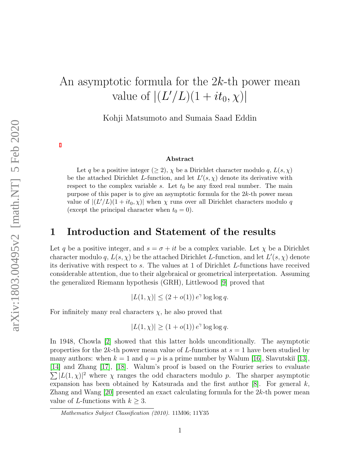# An asymptotic formula for the  $2k$ -th power mean value of  $|(L'/L)(1 + it_0, \chi)|$

Kohji Matsumoto and Sumaia Saad Eddin

#### Abstract

Let q be a positive integer  $(\geq 2)$ ,  $\chi$  be a Dirichlet character modulo q,  $L(s, \chi)$ be the attached Dirichlet L-function, and let  $L'(s, \chi)$  denote its derivative with respect to the complex variable s. Let  $t_0$  be any fixed real number. The main purpose of this paper is to give an asymptotic formula for the  $2k$ -th power mean value of  $|(L'/L)(1 + it_0, \chi)|$  when  $\chi$  runs over all Dirichlet characters modulo q (except the principal character when  $t_0 = 0$ ).

### 1 Introduction and Statement of the results

Let q be a positive integer, and  $s = \sigma + it$  be a complex variable. Let  $\chi$  be a Dirichlet character modulo q,  $L(s, \chi)$  be the attached Dirichlet L-function, and let  $L'(s, \chi)$  denote its derivative with respect to s. The values at 1 of Dirichlet L-functions have received considerable attention, due to their algebraical or geometrical interpretation. Assuming the generalized Riemann hypothesis (GRH), Littlewood [\[9\]](#page-33-0) proved that

 $|L(1, \chi)| \leq (2 + o(1)) e^{\gamma} \log \log q.$ 

For infinitely many real characters  $\chi$ , he also proved that

$$
|L(1, \chi)| \ge (1 + o(1)) e^{\gamma} \log \log q.
$$

In 1948, Chowla [\[2\]](#page-33-1) showed that this latter holds unconditionally. The asymptotic properties for the  $2k$ -th power mean value of L-functions at  $s = 1$  have been studied by many authors: when  $k = 1$  and  $q = p$  is a prime number by Walum [\[16\]](#page-34-0), Slavutskiı̆ [\[13\]](#page-33-2), [\[14\]](#page-34-1) and Zhang [\[17\]](#page-34-2), [\[18\]](#page-34-3). Walum's proof is based on the Fourier series to evaluate  $\sum |L(1, \chi)|^2$  where  $\chi$  ranges the odd characters modulo p. The sharper asymptotic expansion has been obtained by Katsurada and the first author  $[8]$ . For general k, Zhang and Wang  $[20]$  presented an exact calculating formula for the  $2k$ -th power mean value of L-functions with  $k > 3$ .

Mathematics Subject Classification (2010). 11M06; 11Y35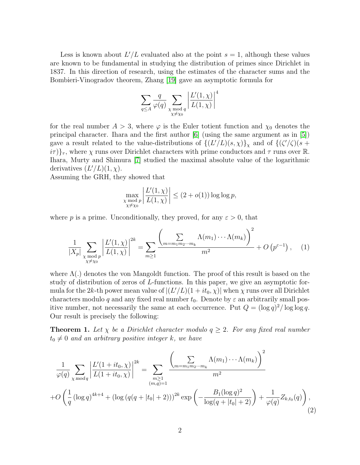Less is known about  $L'/L$  evaluated also at the point  $s = 1$ , although these values are known to be fundamental in studying the distribution of primes since Dirichlet in 1837. In this direction of research, using the estimates of the character sums and the Bombieri-Vinogradov theorem, Zhang [\[19\]](#page-34-5) gave an asymptotic formula for

$$
\sum_{q \le A} \frac{q}{\varphi(q)} \sum_{\substack{\chi \bmod q \\ \chi \ne \chi_0}} \left| \frac{L'(1,\chi)}{L(1,\chi)} \right|^4
$$

for the real number  $A > 3$ , where  $\varphi$  is the Euler totient function and  $\chi_0$  denotes the principal character. Ihara and the first author [\[6\]](#page-33-4) (using the same argument as in [\[5\]](#page-33-5)) gave a result related to the value-distributions of  $\{(L'/L)(s,\chi)\}_{\chi}$  and of  $\{(\zeta'/\zeta)(s+\chi)\}_{\chi}$  $i\tau$ }<sub> $\tau$ </sub>, where  $\chi$  runs over Dirichlet characters with prime conductors and  $\tau$  runs over R. Ihara, Murty and Shimura [\[7\]](#page-33-6) studied the maximal absolute value of the logarithmic derivatives  $(L'/L)(1, \chi)$ .

Assuming the GRH, they showed that

$$
\max_{\substack{\chi \bmod p \\ \chi \neq \chi_0}} \left| \frac{L'(1,\chi)}{L(1,\chi)} \right| \le (2 + o(1)) \log \log p,
$$

where p is a prime. Unconditionally, they proved, for any  $\varepsilon > 0$ , that

<span id="page-1-1"></span>
$$
\frac{1}{|X_p|} \sum_{\substack{\chi \bmod p \\ \chi \neq \chi_0}} \left| \frac{L'(1,\chi)}{L(1,\chi)} \right|^{2k} = \sum_{m \ge 1} \frac{\left( \sum_{m=m_1m_2\cdots m_k} \Lambda(m_1) \cdots \Lambda(m_k) \right)^2}{m^2} + O\left(p^{\varepsilon-1}\right), \quad (1)
$$

where  $\Lambda(.)$  denotes the von Mangoldt function. The proof of this result is based on the study of distribution of zeros of L-functions. In this paper, we give an asymptotic formula for the 2k-th power mean value of  $|(L'/L)(1 + it_0, \chi)|$  when  $\chi$  runs over all Dirichlet characters modulo q and any fixed real number  $t_0$ . Denote by  $\varepsilon$  an arbitrarily small positive number, not necessarily the same at each occurrence. Put  $Q = (\log q)^2 / \log \log q$ . Our result is precisely the following:

<span id="page-1-2"></span>**Theorem 1.** Let  $\chi$  be a Dirichlet character modulo  $q \geq 2$ . For any fixed real number  $t_0 \neq 0$  and an arbitrary positive integer k, we have

<span id="page-1-0"></span>
$$
\frac{1}{\varphi(q)} \sum_{\chi \bmod q} \left| \frac{L'(1+it_0, \chi)}{L(1+it_0, \chi)} \right|^{2k} = \sum_{\substack{m \ge 1 \\ (m,q)=1}} \frac{\left( \sum_{m=m_1m_2 \cdots m_k} \Lambda(m_1) \cdots \Lambda(m_k) \right)^2}{m^2}
$$

$$
+ O\left(\frac{1}{q} \left( \log q \right)^{4k+4} + \left( \log \left( q(q+|t_0|+2) \right) \right)^{2k} \exp\left( -\frac{B_1 (\log q)^2}{\log(q+|t_0|+2)} \right) + \frac{1}{\varphi(q)} Z_{k,t_0}(q) \right),\tag{2}
$$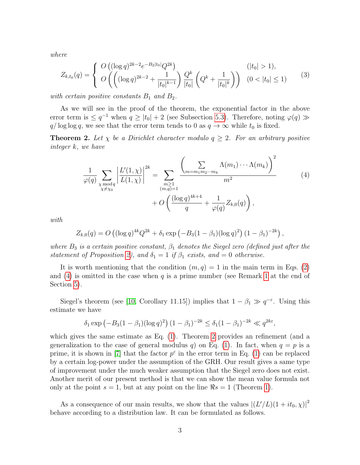where

$$
Z_{k,t_0}(q) = \begin{cases} O\left((\log q)^{2k-2} e^{-B_2|t_0|} Q^{2k}\right) & (|t_0| > 1), \\ O\left(\left((\log q)^{2k-2} + \frac{1}{|t_0|^{k-1}}\right) \frac{Q^k}{|t_0|} \left(Q^k + \frac{1}{|t_0|^k}\right)\right) & (0 < |t_0| \le 1) \end{cases}
$$
(3)

with certain positive constants  $B_1$  and  $B_2$ .

As we will see in the proof of the theorem, the exponential factor in the above error term is  $\leq q^{-1}$  when  $q \geq |t_0| + 2$  (see Subsection [5.3\)](#page-26-0). Therefore, noting  $\varphi(q) \gg$  $q/\log \log q$ , we see that the error term tends to 0 as  $q \to \infty$  while  $t_0$  is fixed.

<span id="page-2-1"></span>**Theorem 2.** Let  $\chi$  be a Dirichlet character modulo  $q \geq 2$ . For an arbitrary positive integer k, we have

<span id="page-2-0"></span>
$$
\frac{1}{\varphi(q)} \sum_{\substack{\chi \bmod q \\ \chi \neq \chi_0}} \left| \frac{L'(1,\chi)}{L(1,\chi)} \right|^{2k} = \sum_{\substack{m \ge 1 \\ (m,q)=1}} \frac{\left( \sum_{m=m_1 m_2 \cdots m_k} \Lambda(m_1) \cdots \Lambda(m_k) \right)^2}{m^2} + O\left( \frac{(\log q)^{4k+4}}{q} + \frac{1}{\varphi(q)} Z_{k,0}(q) \right),\tag{4}
$$

with

$$
Z_{k,0}(q) = O\left((\log q)^{4k} Q^{2k} + \delta_1 \exp\left(-B_3(1-\beta_1)(\log q)^2\right)(1-\beta_1)^{-2k}\right),\,
$$

where  $B_3$  is a certain positive constant,  $\beta_1$  denotes the Siegel zero (defined just after the statement of Proposition [2\)](#page-4-0), and  $\delta_1 = 1$  if  $\beta_1$  exists, and  $= 0$  otherwise.

It is worth mentioning that the condition  $(m, q) = 1$  in the main term in Eqs. [\(2\)](#page-1-0) and [\(4\)](#page-2-0) is omitted in the case when  $q$  is a prime number (see Remark [1](#page-27-0) at the end of Section [5\)](#page-14-0).

Siegel's theorem (see [\[10,](#page-33-7) Corollary 11.15]) implies that  $1 - \beta_1 \gg q^{-\epsilon}$ . Using this estimate we have

$$
\delta_1 \exp \left(-B_3(1-\beta_1)(\log q)^2\right) (1-\beta_1)^{-2k} \le \delta_1 (1-\beta_1)^{-2k} \ll q^{2k\varepsilon},
$$

which gives the same estimate as Eq.  $(1)$ . Theorem [2](#page-2-1) provides an refinement (and a generalization to the case of general modulus q) on Eq. [\(1\)](#page-1-1). In fact, when  $q = p$  is a prime, it is shown in [\[7\]](#page-33-6) that the factor  $p^{\varepsilon}$  in the error term in Eq. [\(1\)](#page-1-1) can be replaced by a certain log-power under the assumption of the GRH. Our result gives a same type of improvement under the much weaker assumption that the Siegel zero does not exist. Another merit of our present method is that we can show the mean value formula not only at the point  $s = 1$ , but at any point on the line  $\Re s = 1$  (Theorem [1\)](#page-1-2).

As a consequence of our main results, we show that the values  $|(L'/L)(1 + it_0, \chi)|^2$ behave according to a distribution law. It can be formulated as follows.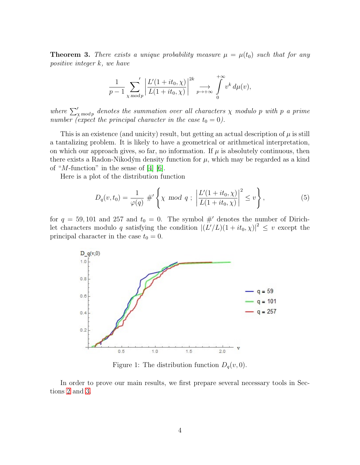<span id="page-3-0"></span>**Theorem 3.** There exists a unique probability measure  $\mu = \mu(t_0)$  such that for any positive integer k, we have

$$
\frac{1}{p-1}\sum_{\chi \bmod p}^{\prime} \left| \frac{L'(1+it_0,\chi)}{L(1+it_0,\chi)} \right|^{2k} \underset{p \to +\infty}{\longrightarrow} \int_{0}^{+\infty} v^k d\mu(v),
$$

where  $\sum_{x \bmod p}'$  denotes the summation over all characters  $\chi$  modulo p with p a prime number (expect the principal character in the case  $t_0 = 0$ ).

This is an existence (and unicity) result, but getting an actual description of  $\mu$  is still a tantalizing problem. It is likely to have a geometrical or arithmetical interpretation, on which our approach gives, so far, no information. If  $\mu$  is absolutely continuous, then there exists a Radon-Nikodým density function for  $\mu$ , which may be regarded as a kind of "*M*-function" in the sense of  $[4]$   $[6]$ .

Here is a plot of the distribution function

<span id="page-3-1"></span>
$$
D_q(v, t_0) = \frac{1}{\varphi(q)} \#' \left\{ \chi \mod q \; ; \; \left| \frac{L'(1 + it_0, \chi)}{L(1 + it_0, \chi)} \right|^2 \le v \right\},\tag{5}
$$

for  $q = 59, 101$  and 257 and  $t_0 = 0$ . The symbol #' denotes the number of Dirichlet characters modulo q satisfying the condition  $|(L'/L)(1+it_0, \chi)|^2 \leq v$  except the principal character in the case  $t_0 = 0$ .

<span id="page-3-2"></span>

Figure 1: The distribution function  $D_q(v, 0)$ .

In order to prove our main results, we first prepare several necessary tools in Sections [2](#page-4-1) and [3.](#page-5-0)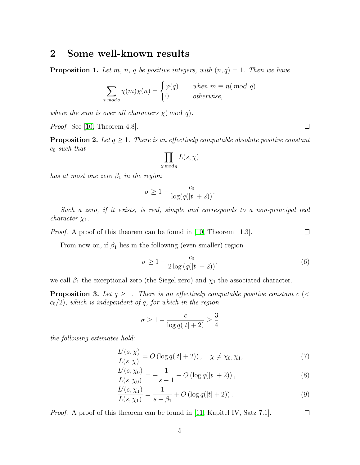## <span id="page-4-1"></span>2 Some well-known results

**Proposition 1.** Let m, n, q be positive integers, with  $(n, q) = 1$ . Then we have

$$
\sum_{\chi \bmod q} \chi(m)\overline{\chi}(n) = \begin{cases} \varphi(q) & when \ m \equiv n \pmod{q} \\ 0 & otherwise, \end{cases}
$$

where the sum is over all characters  $\chi($  mod q).

Proof. See [\[10,](#page-33-7) Theorem 4.8].

<span id="page-4-0"></span>**Proposition 2.** Let  $q \geq 1$ . There is an effectively computable absolute positive constant  $c_0$  such that

$$
\prod_{\chi \bmod q} L(s,\chi)
$$

has at most one zero  $\beta_1$  in the region

$$
\sigma \ge 1 - \frac{c_0}{\log(q(|t|+2))}.
$$

Such a zero, if it exists, is real, simple and corresponds to a non-principal real *character*  $\chi_1$ .

Proof. A proof of this theorem can be found in [\[10,](#page-33-7) Theorem 11.3].

From now on, if  $\beta_1$  lies in the following (even smaller) region

<span id="page-4-4"></span>
$$
\sigma \ge 1 - \frac{c_0}{2\log\left(q(|t|+2)\right)},\tag{6}
$$

we call  $\beta_1$  the exceptional zero (the Siegel zero) and  $\chi_1$  the associated character.

**Proposition 3.** Let  $q \geq 1$ . There is an effectively computable positive constant c (<  $c_0/2$ , which is independent of q, for which in the region

$$
\sigma \ge 1 - \frac{c}{\log q(|t|+2)} \ge \frac{3}{4}
$$

the following estimates hold:

$$
\frac{L'(s,\chi)}{L(s,\chi)} = O\left(\log q(|t|+2)\right), \quad \chi \neq \chi_0, \chi_1,\tag{7}
$$

$$
\frac{L'(s,\chi_0)}{L(s,\chi_0)} = -\frac{1}{s-1} + O\left(\log q(|t|+2)\right),\tag{8}
$$

$$
\frac{L'(s,\chi_1)}{L(s,\chi_1)} = \frac{1}{s-\beta_1} + O\left(\log q(|t|+2)\right). \tag{9}
$$

 $\Box$ *Proof.* A proof of this theorem can be found in [\[11,](#page-33-9) Kapitel IV, Satz 7.1].

 $\Box$ 

<span id="page-4-5"></span><span id="page-4-3"></span><span id="page-4-2"></span> $\Box$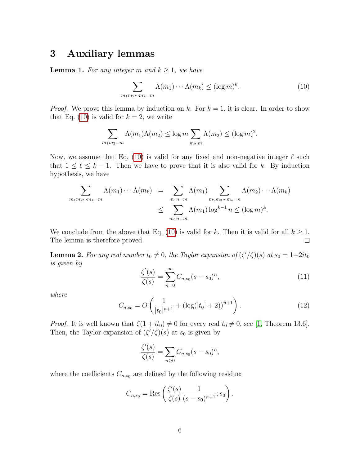# <span id="page-5-0"></span>3 Auxiliary lemmas

<span id="page-5-2"></span>**Lemma 1.** For any integer m and  $k \geq 1$ , we have

<span id="page-5-1"></span>
$$
\sum_{m_1 m_2 \cdots m_k = m} \Lambda(m_1) \cdots \Lambda(m_k) \le (\log m)^k. \tag{10}
$$

*Proof.* We prove this lemma by induction on k. For  $k = 1$ , it is clear. In order to show that Eq. [\(10\)](#page-5-1) is valid for  $k = 2$ , we write

$$
\sum_{m_1 m_2 = m} \Lambda(m_1) \Lambda(m_2) \le \log m \sum_{m_2 \mid m} \Lambda(m_2) \le (\log m)^2.
$$

Now, we assume that Eq. [\(10\)](#page-5-1) is valid for any fixed and non-negative integer  $\ell$  such that  $1 \leq \ell \leq k - 1$ . Then we have to prove that it is also valid for k. By induction hypothesis, we have

$$
\sum_{m_1 m_2 \cdots m_k = m} \Lambda(m_1) \cdots \Lambda(m_k) = \sum_{m_1 n = m} \Lambda(m_1) \sum_{m_2 m_3 \cdots m_k = n} \Lambda(m_2) \cdots \Lambda(m_k)
$$
  

$$
\leq \sum_{m_1 n = m} \Lambda(m_1) \log^{k-1} n \leq (\log m)^k.
$$

We conclude from the above that Eq. [\(10\)](#page-5-1) is valid for k. Then it is valid for all  $k \geq 1$ . The lemma is therefore proved.  $\Box$ 

<span id="page-5-3"></span>**Lemma 2.** For any real number  $t_0 \neq 0$ , the Taylor expansion of  $(\zeta'/\zeta)(s)$  at  $s_0 = 1+2it_0$ is given by

<span id="page-5-4"></span>
$$
\frac{\zeta'(s)}{\zeta(s)} = \sum_{n=0}^{\infty} C_{n,s_0} (s - s_0)^n,
$$
\n(11)

where

<span id="page-5-5"></span>
$$
C_{n,s_0} = O\left(\frac{1}{|t_0|^{n+1}} + (\log(|t_0|+2))^{n+1}\right).
$$
 (12)

*Proof.* It is well known that  $\zeta(1 + it_0) \neq 0$  for every real  $t_0 \neq 0$ , see [\[1,](#page-33-10) Theorem 13.6]. Then, the Taylor expansion of  $(\zeta'/\zeta)(s)$  at  $s_0$  is given by

$$
\frac{\zeta'(s)}{\zeta(s)} = \sum_{n\geq 0} C_{n,s_0}(s-s_0)^n,
$$

where the coefficients  $C_{n,s_0}$  are defined by the following residue:

$$
C_{n,s_0} = \text{Res}\left(\frac{\zeta'(s)}{\zeta(s)}\frac{1}{(s-s_0)^{n+1}}; s_0\right).
$$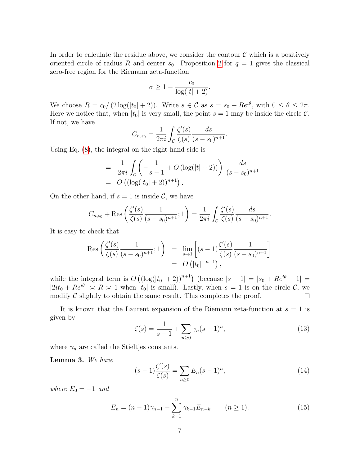In order to calculate the residue above, we consider the contour  $C$  which is a positively oriented circle of radius R and center  $s_0$ . Proposition [2](#page-4-0) for  $q = 1$  gives the classical zero-free region for the Riemann zeta-function

$$
\sigma \ge 1 - \frac{c_0}{\log(|t|+2)}.
$$

We choose  $R = c_0/(2 \log(|t_0| + 2))$ . Write  $s \in \mathcal{C}$  as  $s = s_0 + Re^{i\theta}$ , with  $0 \le \theta \le 2\pi$ . Here we notice that, when  $|t_0|$  is very small, the point  $s = 1$  may be inside the circle C. If not, we have

$$
C_{n,s_0} = \frac{1}{2\pi i} \int_{\mathcal{C}} \frac{\zeta'(s)}{\zeta(s)} \frac{ds}{(s-s_0)^{n+1}}.
$$

Using Eq. [\(8\)](#page-4-2), the integral on the right-hand side is

$$
= \frac{1}{2\pi i} \int_{\mathcal{C}} \left( -\frac{1}{s-1} + O\left(\log(|t|+2)\right) \right) \frac{ds}{(s-s_0)^{n+1}}
$$
  
=  $O\left( \left(\log(|t_0|+2)\right)^{n+1} \right).$ 

On the other hand, if  $s = 1$  is inside C, we have

$$
C_{n,s_0} + \text{Res}\left(\frac{\zeta'(s)}{\zeta(s)}\frac{1}{(s-s_0)^{n+1}};1\right) = \frac{1}{2\pi i} \int_{\mathcal{C}} \frac{\zeta'(s)}{\zeta(s)}\frac{ds}{(s-s_0)^{n+1}}.
$$

It is easy to check that

$$
\operatorname{Res}\left(\frac{\zeta'(s)}{\zeta(s)}\frac{1}{(s-s_0)^{n+1}};1\right) = \lim_{s \to 1} \left[ (s-1) \frac{\zeta'(s)}{\zeta(s)} \frac{1}{(s-s_0)^{n+1}} \right]
$$
  
=  $O(|t_0|^{-n-1}),$ 

while the integral term is  $O((\log(|t_0|+2))^{n+1})$  (because  $|s-1|=|s_0+Re^{i\theta}-1|=$  $|2it_0 + Re^{i\theta}| \approx R \approx 1$  when  $|t_0|$  is small). Lastly, when  $s = 1$  is on the circle C, we modify  $\mathcal C$  slightly to obtain the same result. This completes the proof.  $\Box$ 

It is known that the Laurent expansion of the Riemann zeta-function at  $s = 1$  is given by

<span id="page-6-0"></span>
$$
\zeta(s) = \frac{1}{s-1} + \sum_{n\geq 0} \gamma_n (s-1)^n,\tag{13}
$$

where  $\gamma_n$  are called the Stieltjes constants.

<span id="page-6-1"></span>Lemma 3. We have

$$
(s-1)\frac{\zeta'(s)}{\zeta(s)} = \sum_{n\geq 0} E_n (s-1)^n,
$$
\n(14)

where  $E_0 = -1$  and

<span id="page-6-2"></span>
$$
E_n = (n-1)\gamma_{n-1} - \sum_{k=1}^n \gamma_{k-1} E_{n-k} \qquad (n \ge 1).
$$
 (15)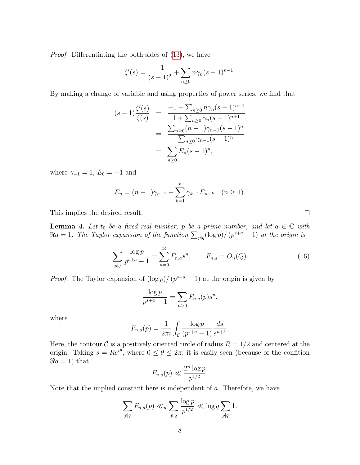Proof. Differentiating the both sides of [\(13\)](#page-6-0), we have

$$
\zeta'(s) = \frac{-1}{(s-1)^2} + \sum_{n\geq 0} n\gamma_n (s-1)^{n-1}.
$$

By making a change of variable and using properties of power series, we find that

$$
(s-1)\frac{\zeta'(s)}{\zeta(s)} = \frac{-1 + \sum_{n\geq 0} n\gamma_n (s-1)^{n+1}}{1 + \sum_{n\geq 0} \gamma_n (s-1)^{n+1}}
$$

$$
= \frac{\sum_{n\geq 0} (n-1)\gamma_{n-1} (s-1)^n}{\sum_{n\geq 0} \gamma_{n-1} (s-1)^n}
$$

$$
= \sum_{n\geq 0} E_n (s-1)^n,
$$

where  $\gamma_{-1} = 1, E_0 = -1$  and

$$
E_n = (n-1)\gamma_{n-1} - \sum_{k=1}^n \gamma_{k-1} E_{n-k} \quad (n \ge 1).
$$

This implies the desired result.

<span id="page-7-0"></span>**Lemma 4.** Let  $t_0$  be a fixed real number, p be a prime number, and let  $a \in \mathbb{C}$  with  $\Re a = 1$ . The Taylor expansion of the function  $\sum_{p|q} (\log p) / (p^{s+a} - 1)$  at the origin is

<span id="page-7-1"></span>
$$
\sum_{p|q} \frac{\log p}{p^{s+a}-1} = \sum_{n=0}^{\infty} F_{n,a} s^n, \qquad F_{n,a} = O_n(Q). \tag{16}
$$

*Proof.* The Taylor expansion of  $(\log p)/ (p^{s+a}-1)$  at the origin is given by

$$
\frac{\log p}{p^{s+a}-1} = \sum_{n\geq 0} F_{n,a}(p)s^n.
$$

where

$$
F_{n,a}(p) = \frac{1}{2\pi i} \int_{\mathcal{C}} \frac{\log p}{(p^{s+a} - 1)} \frac{ds}{s^{n+1}}.
$$

Here, the contour C is a positively oriented circle of radius  $R = 1/2$  and centered at the origin. Taking  $s = Re^{i\theta}$ , where  $0 \le \theta \le 2\pi$ , it is easily seen (because of the confition  $\Re a = 1$ ) that

$$
F_{n,a}(p) \ll \frac{2^n \log p}{p^{1/2}}.
$$

Note that the implied constant here is independent of  $a$ . Therefore, we have

$$
\sum_{p|q} F_{n,a}(p) \ll_n \sum_{p|q} \frac{\log p}{p^{1/2}} \ll \log q \sum_{p|q} 1.
$$

 $\Box$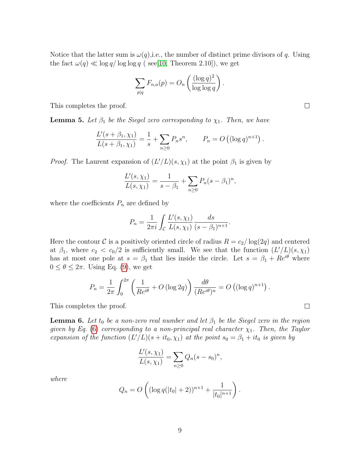Notice that the latter sum is  $\omega(q)$ , i.e., the number of distinct prime divisors of q. Using the fact  $\omega(q) \ll \log q / \log \log q$  (see[\[10,](#page-33-7) Theorem 2.10]), we get

$$
\sum_{p|q} F_{n,a}(p) = O_n\left(\frac{(\log q)^2}{\log \log q}\right).
$$

This completes the proof.

<span id="page-8-0"></span>**Lemma 5.** Let  $\beta_1$  be the Siegel zero corresponding to  $\chi_1$ . Then, we have

$$
\frac{L'(s+\beta_1,\chi_1)}{L(s+\beta_1,\chi_1)} = \frac{1}{s} + \sum_{n\geq 0} P_n s^n, \qquad P_n = O\left((\log q)^{n+1}\right).
$$

*Proof.* The Laurent expansion of  $(L'/L)(s, \chi_1)$  at the point  $\beta_1$  is given by

$$
\frac{L'(s,\chi_1)}{L(s,\chi_1)} = \frac{1}{s-\beta_1} + \sum_{n\geq 0} P_n(s-\beta_1)^n,
$$

where the coefficients  $P_n$  are defined by

$$
P_n = \frac{1}{2\pi i} \int_{\mathcal{C}} \frac{L'(s, \chi_1)}{L(s, \chi_1)} \frac{ds}{(s - \beta_1)^{n+1}}.
$$

Here the contour C is a positively oriented circle of radius  $R = c_2/\log(2q)$  and centered at  $\beta_1$ , where  $c_2 < c_0/2$  is sufficiently small. We see that the function  $(L'/L)(s, \chi_1)$ has at most one pole at  $s = \beta_1$  that lies inside the circle. Let  $s = \beta_1 + Re^{i\theta}$  where  $0 \leq \theta \leq 2\pi$ . Using Eq. [\(9\)](#page-4-3), we get

$$
P_n = \frac{1}{2\pi} \int_0^{2\pi} \left( \frac{1}{Re^{i\theta}} + O\left(\log 2q\right) \right) \frac{d\theta}{(Re^{i\theta})^n} = O\left( (\log q)^{n+1} \right).
$$

This completes the proof.

<span id="page-8-1"></span>**Lemma 6.** Let  $t_0$  be a non-zero real number and let  $\beta_1$  be the Siegel zero in the region given by Eq. [\(6\)](#page-4-4) corresponding to a non-principal real character  $\chi_1$ . Then, the Taylor expansion of the function  $(L'/L)(s + it_0, \chi_1)$  at the point  $s_0 = \beta_1 + it_0$  is given by

$$
\frac{L'(s,\chi_1)}{L(s,\chi_1)} = \sum_{n\geq 0} Q_n (s - s_0)^n,
$$

where

$$
Q_n = O\left( (\log q(|t_0|+2))^{n+1} + \frac{1}{|t_0|^{n+1}} \right).
$$

 $\Box$ 

 $\Box$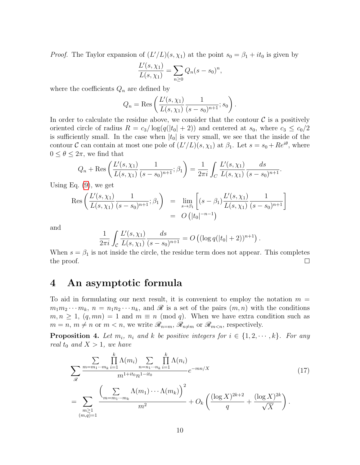*Proof.* The Taylor expansion of  $(L'/L)(s, \chi_1)$  at the point  $s_0 = \beta_1 + it_0$  is given by

$$
\frac{L'(s,\chi_1)}{L(s,\chi_1)} = \sum_{n\geq 0} Q_n (s - s_0)^n,
$$

where the coefficients  $Q_n$  are defined by

$$
Q_n = \text{Res}\left(\frac{L'(s,\chi_1)}{L(s,\chi_1)}\frac{1}{(s-s_0)^{n+1}}; s_0\right).
$$

In order to calculate the residue above, we consider that the contour  $\mathcal C$  is a positively oriented circle of radius  $R = c_3/\log(q(|t_0| + 2))$  and centered at  $s_0$ , where  $c_3 \leq c_0/2$ is sufficiently small. In the case when  $|t_0|$  is very small, we see that the inside of the contour C can contain at most one pole of  $(L'/L)(s, \chi_1)$  at  $\beta_1$ . Let  $s = s_0 + Re^{i\theta}$ , where  $0 \leq \theta \leq 2\pi$ , we find that

$$
Q_n + \text{Res}\left(\frac{L'(s,\chi_1)}{L(s,\chi_1)}\frac{1}{(s-s_0)^{n+1}};\beta_1\right) = \frac{1}{2\pi i}\int_C \frac{L'(s,\chi_1)}{L(s,\chi_1)}\frac{ds}{(s-s_0)^{n+1}}.
$$

Using Eq. [\(9\)](#page-4-3), we get

$$
\operatorname{Res}\left(\frac{L'(s,\chi_1)}{L(s,\chi_1)}\frac{1}{(s-s_0)^{n+1}};\beta_1\right) = \lim_{s\to\beta_1} \left[ (s-\beta_1) \frac{L'(s,\chi_1)}{L(s,\chi_1)}\frac{1}{(s-s_0)^{n+1}} \right]
$$
  
=  $O\left(|t_0|^{-n-1}\right)$ 

and

$$
\frac{1}{2\pi i} \int_{\mathcal{C}} \frac{L'(s,\chi_1)}{L(s,\chi_1)} \frac{ds}{(s-s_0)^{n+1}} = O\left( (\log q(|t_0|+2))^{n+1} \right).
$$

When  $s = \beta_1$  is not inside the circle, the residue term does not appear. This completes the proof.  $\Box$ 

# 4 An asymptotic formula

To aid in formulating our next result, it is convenient to employ the notation  $m =$  $m_1m_2\cdots m_k$ ,  $n = n_1n_2\cdots n_k$ , and  $\mathscr R$  is a set of the pairs  $(m, n)$  with the conditions  $m, n \geq 1$ ,  $(q, mn) = 1$  and  $m \equiv n \pmod{q}$ . When we have extra condition such as  $m = n, m \neq n$  or  $m < n$ , we write  $\mathscr{R}_{n=m}, \mathscr{R}_{n \neq m}$  or  $\mathscr{R}_{m \leq n}$ , respectively.

<span id="page-9-1"></span>**Proposition 4.** Let  $m_i$ ,  $n_i$  and k be positive integers for  $i \in \{1, 2, \dots, k\}$ . For any real  $t_0$  and  $X > 1$ , we have

<span id="page-9-0"></span>
$$
\sum_{\mathcal{R}} \frac{\sum_{m=m_1\cdots m_k} \prod_{i=1}^k \Lambda(m_i) \sum_{n=n_1\cdots n_k} \prod_{i=1}^k \Lambda(n_i)}{m^{1+it_0} n^{1-it_0}} e^{-mn/X}
$$
\n
$$
= \sum_{\substack{m\geq 1\\(m,q)=1}} \frac{\left(\sum_{m=m_1\cdots m_k} \Lambda(m_1) \cdots \Lambda(m_k)\right)^2}{m^2} + O_k\left(\frac{(\log X)^{2k+2}}{q} + \frac{(\log X)^{2k}}{\sqrt{X}}\right).
$$
\n(17)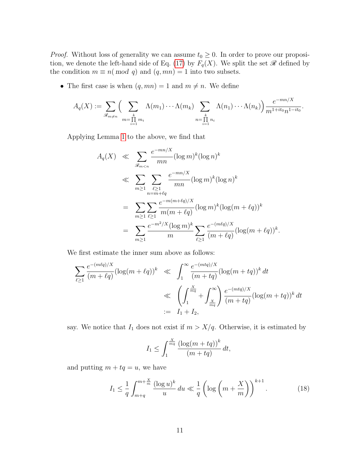*Proof.* Without loss of generality we can assume  $t_0 \geq 0$ . In order to prove our proposi-tion, we denote the left-hand side of Eq. [\(17\)](#page-9-0) by  $F_q(X)$ . We split the set  $\mathscr R$  defined by the condition  $m \equiv n \pmod{q}$  and  $(q, mn) = 1$  into two subsets.

• The first case is when  $(q, mn) = 1$  and  $m \neq n$ . We define

$$
A_q(X) := \sum_{\mathscr{R}_{m \neq n}} \Biggl(\sum_{m=\prod\limits_{i=1}^{k} m_i} \Lambda(m_1) \cdots \Lambda(m_k) \sum_{n=\prod\limits_{i=1}^{k} n_i} \Lambda(n_1) \cdots \Lambda(n_k) \Biggr) \frac{e^{-mn/X}}{m^{1+it_0} n^{1-it_0}}.
$$

Applying Lemma [1](#page-5-2) to the above, we find that

$$
A_q(X) \ll \sum_{\mathcal{R}_{m < n}} \frac{e^{-mn/X}}{mn} (\log m)^k (\log n)^k
$$
  
\n
$$
\ll \sum_{m \ge 1} \sum_{\substack{\ell \ge 1 \\ n = m + \ell q}} \frac{e^{-mn/X}}{mn} (\log m)^k (\log n)^k
$$
  
\n
$$
= \sum_{m \ge 1} \sum_{\ell \ge 1} \frac{e^{-m(m + \ell q)/X}}{m(m + \ell q)} (\log m)^k (\log (m + \ell q))^k
$$
  
\n
$$
= \sum_{m \ge 1} \frac{e^{-m^2/X} (\log m)^k}{m} \sum_{\ell \ge 1} \frac{e^{-(m\ell q)/X}}{(m + \ell q)} (\log (m + \ell q))^k.
$$

We first estimate the inner sum above as follows:

$$
\sum_{\ell \ge 1} \frac{e^{-(m\ell q)/X}}{(m+\ell q)} (\log(m+\ell q))^k \ll \int_1^\infty \frac{e^{-(m\ell q)/X}}{(m+\ell q)} (\log(m+\ell q))^k dt
$$
  

$$
\ll \left(\int_1^{\frac{X}{mq}} + \int_{\frac{X}{mq}}^\infty \right) \frac{e^{-(m\ell q)/X}}{(m+\ell q)} (\log(m+\ell q))^k dt
$$
  

$$
:= I_1 + I_2,
$$

say. We notice that  $I_1$  does not exist if  $m > X/q$ . Otherwise, it is estimated by

$$
I_1 \le \int_1^{\frac{X}{mq}} \frac{\left(\log(m+tq)\right)^k}{\left(m+tq\right)} dt,
$$

and putting  $m + tq = u$ , we have

<span id="page-10-0"></span>
$$
I_1 \le \frac{1}{q} \int_{m+q}^{m+\frac{X}{m}} \frac{(\log u)^k}{u} du \ll \frac{1}{q} \left( \log \left( m + \frac{X}{m} \right) \right)^{k+1} . \tag{18}
$$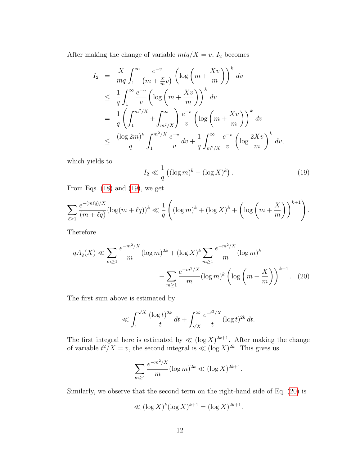After making the change of variable  $m \cdot t q / X = v$ ,  $I_2$  becomes

$$
I_2 = \frac{X}{mq} \int_1^{\infty} \frac{e^{-v}}{(m + \frac{Xv}{m})} \left( \log \left( m + \frac{Xv}{m} \right) \right)^k dv
$$
  
\n
$$
\leq \frac{1}{q} \int_1^{\infty} \frac{e^{-v}}{v} \left( \log \left( m + \frac{Xv}{m} \right) \right)^k dv
$$
  
\n
$$
= \frac{1}{q} \left( \int_1^{m^2/X} + \int_{m^2/X}^{\infty} \right) \frac{e^{-v}}{v} \left( \log \left( m + \frac{Xv}{m} \right) \right)^k dv
$$
  
\n
$$
\leq \frac{(\log 2m)^k}{q} \int_1^{m^2/X} \frac{e^{-v}}{v} dv + \frac{1}{q} \int_{m^2/X}^{\infty} \frac{e^{-v}}{v} \left( \log \frac{2Xv}{m} \right)^k dv,
$$

which yields to

<span id="page-11-0"></span>
$$
I_2 \ll \frac{1}{q} \left( (\log m)^k + (\log X)^k \right). \tag{19}
$$

From Eqs.  $(18)$  and  $(19)$ , we get

$$
\sum_{\ell\geq 1} \frac{e^{-(m\ell q)/X}}{(m+\ell q)} (\log(m+\ell q))^k \ll \frac{1}{q} \left( (\log m)^k + (\log X)^k + \left( \log \left( m + \frac{X}{m} \right) \right)^{k+1} \right).
$$

Therefore

$$
qA_q(X) \ll \sum_{m\geq 1} \frac{e^{-m^2/X}}{m} (\log m)^{2k} + (\log X)^k \sum_{m\geq 1} \frac{e^{-m^2/X}}{m} (\log m)^k + \sum_{m\geq 1} \frac{e^{-m^2/X}}{m} (\log m)^k \left( \log \left( m + \frac{X}{m} \right) \right)^{k+1} .
$$
 (20)

The first sum above is estimated by

<span id="page-11-1"></span>
$$
\ll \int_1^{\sqrt{X}} \frac{(\log t)^{2k}}{t} dt + \int_{\sqrt{X}}^{\infty} \frac{e^{-t^2/X}}{t} (\log t)^{2k} dt.
$$

The first integral here is estimated by  $\ll (\log X)^{2k+1}$ . After making the change of variable  $t^2/X = v$ , the second integral is  $\ll (\log X)^{2k}$ . This gives us

$$
\sum_{m\geq 1} \frac{e^{-m^2/X}}{m} (\log m)^{2k} \ll (\log X)^{2k+1}.
$$

Similarly, we observe that the second term on the right-hand side of Eq. [\(20\)](#page-11-1) is

$$
\ll (\log X)^k (\log X)^{k+1} = (\log X)^{2k+1}.
$$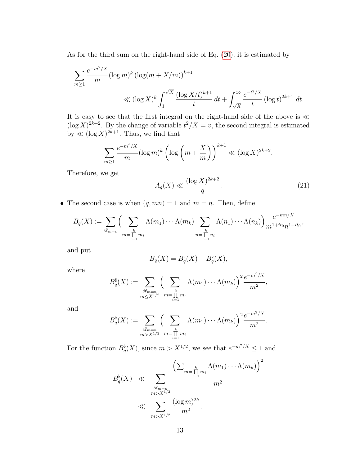As for the third sum on the right-hand side of Eq. [\(20\)](#page-11-1), it is estimated by

$$
\sum_{m\geq 1} \frac{e^{-m^2/X}}{m} (\log m)^k (\log (m + X/m))^{k+1}
$$
  

$$
\ll (\log X)^k \int_1^{\sqrt{X}} \frac{(\log X/t)^{k+1}}{t} dt + \int_{\sqrt{X}}^{\infty} \frac{e^{-t^2/X}}{t} (\log t)^{2k+1} dt.
$$

It is easy to see that the first integral on the right-hand side of the above is  $\ll$  $(\log X)^{2k+2}$ . By the change of variable  $t^2/X = v$ , the second integral is estimated by  $\ll (\log X)^{2k+1}$ . Thus, we find that

$$
\sum_{m\geq 1} \frac{e^{-m^2/X}}{m} (\log m)^k \left( \log \left( m + \frac{X}{m} \right) \right)^{k+1} \ll (\log X)^{2k+2}.
$$

Therefore, we get

<span id="page-12-0"></span>
$$
A_q(X) \ll \frac{(\log X)^{2k+2}}{q}.\tag{21}
$$

• The second case is when  $(q, mn) = 1$  and  $m = n$ . Then, define

$$
B_q(X) := \sum_{\mathscr{R}_{m=n}} \Biggl(\sum_{\substack{k \ m = 1 \ n_i}} \Lambda(m_1) \cdots \Lambda(m_k) \sum_{\substack{k \ n = \prod_{i=1}^k n_i}} \Lambda(n_1) \cdots \Lambda(n_k) \Biggr) \frac{e^{-mn/X}}{m^{1+it_0} n^{1-it_0}},
$$

and put

$$
B_q(X) = B_q^{\sharp}(X) + B_q^{\flat}(X),
$$

where

$$
B_q^{\sharp}(X) := \sum_{\substack{\mathscr{R}_{m=n} \\ m \leq X^{1/2}}} \Biggl(\sum_{\substack{k \\ m=\prod m_i}} \Lambda(m_1) \cdots \Lambda(m_k)\Biggr)^2 \frac{e^{-m^2/X}}{m^2},
$$

and

$$
B_q^{\flat}(X) := \sum_{\substack{\mathscr{R}_{m=n} \\ m > X^{1/2}}} \Big( \sum_{\substack{k \\ m=\prod_{i=1}^k m_i}} \Lambda(m_1) \cdots \Lambda(m_k) \Big)^2 \frac{e^{-m^2/X}}{m^2}.
$$

For the function  $B^{\flat}_{q}(X)$ , since  $m > X^{1/2}$ , we see that  $e^{-m^{2}/X} \leq 1$  and

$$
B_q^{\flat}(X) \ll \sum_{\substack{\mathcal{R}_{m=n} \\ m > X^{1/2} \\ m > X^{1/2}}} \frac{\left(\sum_{m=\prod\limits_{i=1}^k m_i} \Lambda(m_1) \cdots \Lambda(m_k)\right)^2}{m^2}
$$

$$
\ll \sum_{m > X^{1/2}} \frac{(\log m)^{2k}}{m^2},
$$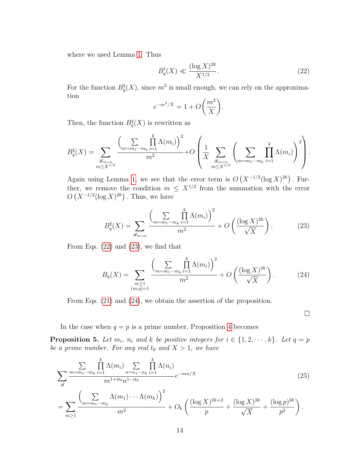where we used Lemma [1.](#page-5-2) Thus

<span id="page-13-0"></span>
$$
B_q^{\flat}(X) \ll \frac{(\log X)^{2k}}{X^{1/2}}.
$$
 (22)

For the function  $B^{\sharp}_{q}(X)$ , since  $m^{2}$  is small enough, we can rely on the approximation

$$
e^{-m^2/X} = 1 + O\bigg(\frac{m^2}{X}\bigg).
$$

Then, the function  $B_q^{\sharp}(X)$  is rewritten as

$$
B_q^{\sharp}(X) = \sum_{\substack{\mathcal{R}_{m=n} \\ m \le X^{1/2}}} \frac{\left(\sum\limits_{m=m_1\cdots m_k} \prod\limits_{i=1}^k \Lambda(m_i)\right)^2}{m^2} + O\left(\frac{1}{X} \sum\limits_{\substack{\mathcal{R}_{m=n} \\ m \le X^{1/2}}} \left(\sum\limits_{m=m_1\cdots m_k} \prod\limits_{i=1}^k \Lambda(m_i)\right)^2\right).
$$

Again using Lemma [1,](#page-5-2) we see that the error term is  $O(X^{-1/2}(\log X)^{2k})$ . Further, we remove the condition  $m \leq X^{1/2}$  from the summation with the error  $O(X^{-1/2}(\log X)^{2k})$ . Thus, we have

<span id="page-13-1"></span>
$$
B_q^{\sharp}(X) = \sum_{\mathcal{R}_{m=n}} \frac{\left(\sum_{m=m_1\cdots m_k} \prod_{i=1}^k \Lambda(m_i)\right)^2}{m^2} + O\left(\frac{(\log X)^{2k}}{\sqrt{X}}\right). \tag{23}
$$

From Eqs.  $(22)$  and  $(23)$ , we find that

<span id="page-13-2"></span>
$$
B_q(X) = \sum_{\substack{m \ge 1 \\ (m,q)=1}} \frac{\left(\sum_{m=m_1 \cdots m_k} \prod_{i=1}^k \Lambda(m_i)\right)^2}{m^2} + O\left(\frac{(\log X)^{2k}}{\sqrt{X}}\right). \tag{24}
$$

From Eqs. [\(21\)](#page-12-0) and [\(24\)](#page-13-2), we obtain the assertion of the proposition.

 $\Box$ 

In the case when  $q = p$  is a prime number, Proposition [4](#page-9-1) becomes

<span id="page-13-3"></span>**Proposition 5.** Let  $m_i$ ,  $n_i$  and  $k$  be positive integers for  $i \in \{1, 2, \dots, k\}$ . Let  $q = p$ be a prime number. For any real  $t_0$  and  $X > 1$ , we have

$$
\sum_{\mathcal{R}} \frac{\sum_{m=m_1\cdots m_k} \prod_{i=1}^k \Lambda(m_i) \sum_{n=n_1\cdots n_k} \prod_{i=1}^k \Lambda(n_i)}{m^{1+it_0} n^{1-it_0}} e^{-mn/X}
$$
\n
$$
= \sum_{m\geq 1} \frac{\left(\sum_{m=m_1\cdots m_k} \Lambda(m_1) \cdots \Lambda(m_k)\right)^2}{m^2} + O_k \left(\frac{(\log X)^{2k+2}}{p} + \frac{(\log X)^{2k}}{\sqrt{X}} + \frac{(\log p)^{2k}}{p^2}\right).
$$
\n(25)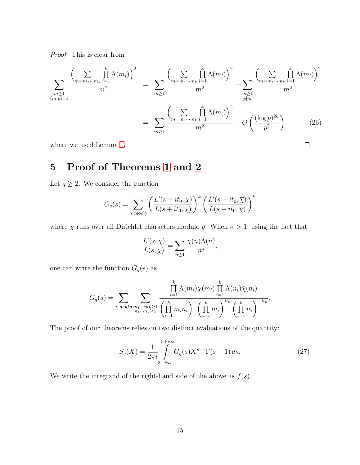Proof. This is clear from

$$
\sum_{\substack{m\geq 1\\(m,p)=1}}\frac{\left(\sum_{m=m_1\cdots m_k}\prod_{i=1}^k \Lambda(m_i)\right)^2}{m^2} = \sum_{m\geq 1}\frac{\left(\sum_{m=m_1\cdots m_k}\prod_{i=1}^k \Lambda(m_i)\right)^2}{m^2} - \sum_{\substack{m\geq 1\\p|m}}\frac{\left(\sum_{m=m_1\cdots m_k}\prod_{i=1}^k \Lambda(m_i)\right)^2}{m^2}
$$

$$
= \sum_{m\geq 1}\frac{\left(\sum_{m=m_1\cdots m_k}\prod_{i=1}^k \Lambda(m_i)\right)^2}{m^2} + O\left(\frac{(\log p)^{2k}}{p^2}\right),\tag{26}
$$

 $\Box$ 

where we used Lemma [1.](#page-5-2)

# <span id="page-14-0"></span>5 Proof of Theorems [1](#page-1-2) and [2](#page-2-1)

Let  $q \geq 2$ . We consider the function

$$
G_q(s) = \sum_{\chi \bmod q} \left( \frac{L'(s + it_0, \chi)}{L(s + it_0, \chi)} \right)^k \left( \frac{L'(s - it_0, \overline{\chi})}{L(s - it_0, \overline{\chi})} \right)^k
$$

where  $\chi$  runs over all Dirichlet characters modulo q. When  $\sigma > 1$ , using the fact that

$$
\frac{L'(s,\chi)}{L(s,\chi)} = \sum_{n\geq 1} \frac{\chi(n)\Lambda(n)}{n^s},
$$

one can write the function  ${\cal G}_q(s)$  as

$$
G_q(s) = \sum_{\chi \bmod q} \sum_{\substack{m_1 \cdots m_k \ge 1 \\ n_1 \cdots n_k \ge 1}} \frac{\prod_{i=1}^k \Lambda(m_i) \chi(m_i) \prod_{i=1}^k \Lambda(n_i) \bar{\chi}(n_i)}{\left(\prod_{i=1}^k m_i\right)^s \left(\prod_{i=1}^k m_i\right)^{it_0} \left(\prod_{i=1}^k n_i\right)^{-it_0}}.
$$

The proof of our theorems relies on two distinct evaluations of the quantity:

<span id="page-14-1"></span>
$$
S_q(X) = \frac{1}{2\pi i} \int_{3-i\infty}^{3+i\infty} G_q(s) X^{s-1} \Gamma(s-1) \, ds. \tag{27}
$$

We write the integrand of the right-hand side of the above as  $f(s)$ .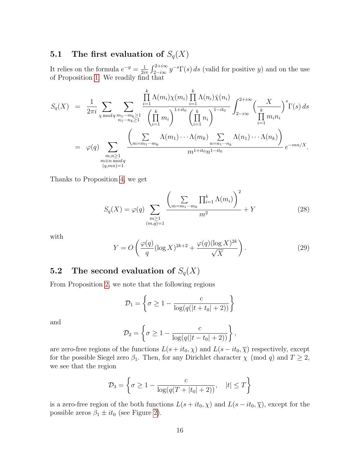### **5.1** The first evaluation of  $S_q(X)$

It relies on the formula  $e^{-y} = \frac{1}{2i}$  $\frac{1}{2i\pi} \int_{2-i\infty}^{2+i\infty} y^{-s} \Gamma(s) ds$  (valid for positive y) and on the use of Proposition [1.](#page-1-2) We readily find that

$$
S_q(X) = \frac{1}{2\pi i} \sum_{\chi \bmod q} \sum_{\substack{m_1\cdots m_k \ge 1 \\ n_1\cdots n_k \ge 1}} \frac{\prod_{i=1}^k \Lambda(m_i) \chi(m_i) \prod_{i=1}^k \Lambda(n_i) \bar{\chi}(n_i)}{\left(\prod_{i=1}^k m_i\right)^{1+it_0} \left(\prod_{i=1}^k n_i\right)^{1-it_0}} \int_{2-i\infty}^{2+i\infty} \left(\frac{X}{\prod_{i=1}^k m_i n_i}\right)^s \Gamma(s) ds
$$
  

$$
= \varphi(q) \sum_{\substack{m,n \ge 1 \\ m \equiv n \bmod q \\ (q,mn)=1}} \frac{\left(\sum_{m=m_1\cdots m_k} \Lambda(m_1) \cdots \Lambda(m_k) \sum_{n=n_1\cdots n_k} \Lambda(n_1) \cdots \Lambda(n_k)\right)}{m^{1+it_0} n^{1-it_0}} e^{-mn/X}.
$$

Thanks to Proposition [4,](#page-9-1) we get

<span id="page-15-0"></span>
$$
S_q(X) = \varphi(q) \sum_{\substack{m \ge 1 \\ (m,q)=1}} \frac{\left(\sum_{m=m_1 \cdots m_k} \prod_{i=1}^k \Lambda(m_i)\right)^2}{m^2} + Y \tag{28}
$$

with

$$
Y = O\left(\frac{\varphi(q)}{q} (\log X)^{2k+2} + \frac{\varphi(q)(\log X)^{2k}}{\sqrt{X}}\right).
$$
 (29)

### 5.2 The second evaluation of  $S_q(X)$

From Proposition [2,](#page-4-0) we note that the following regions

$$
\mathcal{D}_1 = \left\{ \sigma \ge 1 - \frac{c}{\log(q(|t+t_0|+2))} \right\}
$$

and

$$
\mathcal{D}_2 = \left\{ \sigma \ge 1 - \frac{c}{\log(q(|t-t_0|+2))} \right\},\,
$$

are zero-free regions of the functions  $L(s + it_0, \chi)$  and  $L(s - it_0, \overline{\chi})$  respectively, except for the possible Siegel zero  $\beta_1$ . Then, for any Dirichlet character  $\chi$  (mod q) and  $T \geq 2$ , we see that the region

$$
\mathcal{D}_3 = \left\{ \sigma \ge 1 - \frac{c}{\log(q(T + |t_0| + 2))}, \quad |t| \le T \right\}
$$

is a zero-free region of the both functions  $L(s+it_0, \chi)$  and  $L(s-it_0, \overline{\chi})$ , except for the possible zeros  $\beta_1 \pm it_0$  (see Figure [2\)](#page-16-0).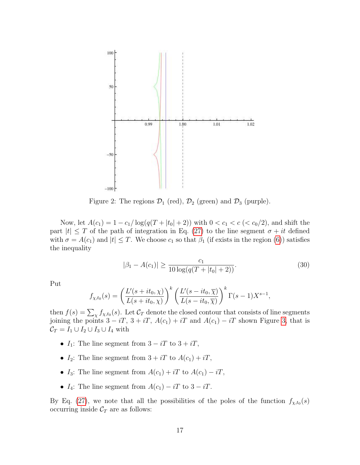<span id="page-16-0"></span>

Figure 2: The regions  $\mathcal{D}_1$  (red),  $\mathcal{D}_2$  (green) and  $\mathcal{D}_3$  (purple).

Now, let  $A(c_1) = 1 - c_1/\log(q(T + |t_0| + 2))$  with  $0 < c_1 < c \, (\langle c_0/2 \rangle)$ , and shift the part  $|t| \leq T$  of the path of integration in Eq. [\(27\)](#page-14-1) to the line segment  $\sigma + it$  defined with  $\sigma = A(c_1)$  and  $|t| \leq T$ . We choose  $c_1$  so that  $\beta_1$  (if exists in the region [\(6\)](#page-4-4)) satisfies the inequality

<span id="page-16-1"></span>
$$
|\beta_1 - A(c_1)| \ge \frac{c_1}{10 \log(q(T + |t_0| + 2))}.
$$
\n(30)

Put

$$
f_{\chi, t_0}(s) = \left(\frac{L'(s + it_0, \chi)}{L(s + it_0, \chi)}\right)^k \left(\frac{L'(s - it_0, \overline{\chi})}{L(s - it_0, \overline{\chi})}\right)^k \Gamma(s - 1) X^{s-1},
$$

then  $f(s) = \sum_{\chi} f_{\chi,t_0}(s)$ . Let  $\mathcal{C}_T$  denote the closed contour that consists of line segments joining the points  $3 - iT$ ,  $3 + iT$ ,  $A(c_1) + iT$  and  $A(c_1) - iT$  shown Figure [3,](#page-17-0) that is  $\mathcal{C}_T = I_1 \cup I_2 \cup I_3 \cup I_4$  with

- $I_1$ : The line segment from  $3 iT$  to  $3 + iT$ ,
- $I_2$ : The line segment from  $3 + iT$  to  $A(c_1) + iT$ ,
- I<sub>3</sub>: The line segment from  $A(c_1) + iT$  to  $A(c_1) iT$ ,
- $I_4$ : The line segment from  $A(c_1) iT$  to  $3 iT$ .

By Eq. [\(27\)](#page-14-1), we note that all the possibilities of the poles of the function  $f_{\chi,t_0}(s)$ occurring inside  $C_T$  are as follows: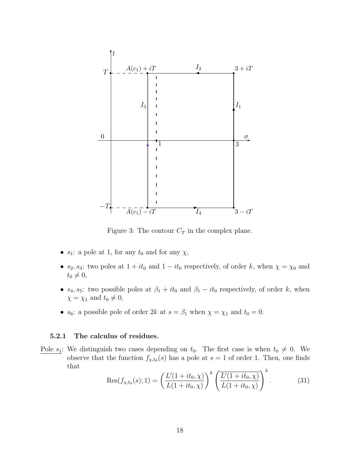<span id="page-17-0"></span>

Figure 3: The contour  $C_T$  in the complex plane.

- $s_1$ : a pole at 1, for any  $t_0$  and for any  $\chi$ ,
- $s_2$ ,  $s_3$ : two poles at  $1 + it_0$  and  $1 it_0$  respectively, of order k, when  $\chi = \chi_0$  and  $t_0 \neq 0,$
- $s_4$ ,  $s_5$ : two possible poles at  $\beta_1 + it_0$  and  $\beta_1 it_0$  respectively, of order k, when  $\chi = \chi_1$  and  $t_0 \neq 0$ ,
- $s_6$ : a possible pole of order 2k at  $s = \beta_1$  when  $\chi = \chi_1$  and  $t_0 = 0$ .

#### 5.2.1 The calculus of residues.

Pole  $s_1$ : We distinguish two cases depending on  $t_0$ . The first case is when  $t_0 \neq 0$ . We observe that the function  $f_{\chi,t_0}(s)$  has a pole at  $s=1$  of order 1. Then, one finds that

<span id="page-17-1"></span>
$$
\text{Res}(f_{\chi,t_0}(s);1) = \left(\frac{L'(1+it_0,\chi)}{L(1+it_0,\chi)}\right)^k \left(\frac{L'(1+it_0,\chi)}{L(1+it_0,\chi)}\right)^k.
$$
(31)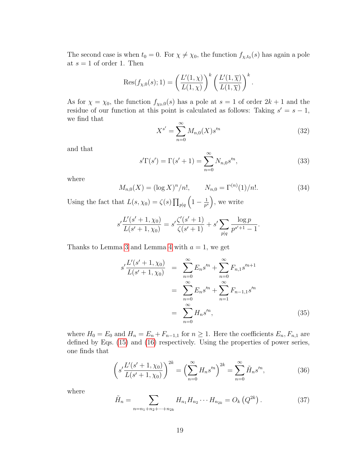The second case is when  $t_0 = 0$ . For  $\chi \neq \chi_0$ , the function  $f_{\chi,t_0}(s)$  has again a pole at  $s = 1$  of order 1. Then

$$
Res(f_{\chi,0}(s);1) = \left(\frac{L'(1,\chi)}{L(1,\chi)}\right)^k \left(\frac{L'(1,\overline{\chi})}{L(1,\overline{\chi})}\right)^k.
$$

As for  $\chi = \chi_0$ , the function  $f_{\chi_0,0}(s)$  has a pole at  $s = 1$  of order  $2k + 1$  and the residue of our function at this point is calculated as follows: Taking  $s' = s - 1$ , we find that

<span id="page-18-0"></span>
$$
X^{s'} = \sum_{n=0}^{\infty} M_{n,0}(X) s'^n
$$
 (32)

and that

<span id="page-18-1"></span>
$$
s'\Gamma(s') = \Gamma(s'+1) = \sum_{n=0}^{\infty} N_{n,0} s'^n,
$$
\n(33)

where

<span id="page-18-3"></span>
$$
M_{n,0}(X) = (\log X)^n / n!, \qquad N_{n,0} = \Gamma^{(n)}(1) / n!.
$$
 (34)

Using the fact that  $L(s, \chi_0) = \zeta(s) \prod_{p \mid q} \left(1 - \frac{1}{p^s}\right)$  $\frac{1}{p^s}$ , we write

$$
s' \frac{L'(s'+1,\chi_0)}{L(s'+1,\chi_0)} = s' \frac{\zeta'(s'+1)}{\zeta(s'+1)} + s' \sum_{p|q} \frac{\log p}{p^{s'+1}-1}.
$$

Thanks to Lemma [3](#page-6-1) and Lemma [4](#page-7-0) with  $a = 1$ , we get

<span id="page-18-5"></span>
$$
s' \frac{L'(s'+1,\chi_0)}{L(s'+1,\chi_0)} = \sum_{n=0}^{\infty} E_n s'^n + \sum_{n=0}^{\infty} F_{n,1} s'^{n+1}
$$
  

$$
= \sum_{n=0}^{\infty} E_n s'^n + \sum_{n=1}^{\infty} F_{n-1,1} s'^n
$$
  

$$
= \sum_{n=0}^{\infty} H_n s'^n,
$$
 (35)

where  $H_0 = E_0$  and  $H_n = E_n + F_{n-1,1}$  for  $n \ge 1$ . Here the coefficients  $E_n, F_{n,1}$  are defined by Eqs. [\(15\)](#page-6-2) and [\(16\)](#page-7-1) respectively. Using the properties of power series, one finds that

<span id="page-18-2"></span>
$$
\left(s'\frac{L'(s'+1,\chi_0)}{L(s'+1,\chi_0)}\right)^{2k} = \left(\sum_{n=0}^{\infty} H_n s'^n\right)^{2k} = \sum_{n=0}^{\infty} \tilde{H}_n s'^n,
$$
\n(36)

where

<span id="page-18-4"></span>
$$
\tilde{H}_n = \sum_{n=n_1+n_2+\dots+n_{2k}} H_{n_1} H_{n_2} \cdots H_{n_{2k}} = O_k(Q^{2k}). \tag{37}
$$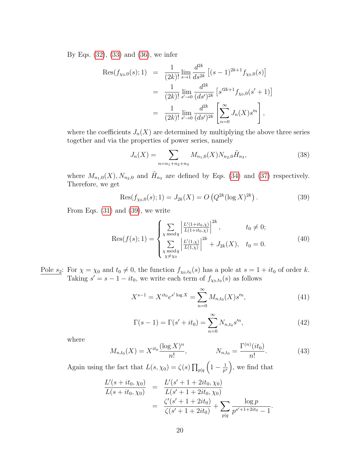By Eqs. [\(32\)](#page-18-0), [\(33\)](#page-18-1) and [\(36\)](#page-18-2), we infer

$$
\begin{split} \text{Res}(f_{\chi_0,0}(s);1) &= \frac{1}{(2k)!} \lim_{s \to 1} \frac{d^{2k}}{ds^{2k}} \left[ (s-1)^{2k+1} f_{\chi_0,0}(s) \right] \\ &= \frac{1}{(2k)!} \lim_{s' \to 0} \frac{d^{2k}}{(ds')^{2k}} \left[ s'^{2k+1} f_{\chi_0,0}(s'+1) \right] \\ &= \frac{1}{(2k)!} \lim_{s' \to 0} \frac{d^{2k}}{(ds')^{2k}} \left[ \sum_{n=0}^{\infty} J_n(X) s'^n \right], \end{split}
$$

where the coefficients  $J_n(X)$  are determined by multiplying the above three series together and via the properties of power series, namely

$$
J_n(X) = \sum_{n=n_1+n_2+n_3} M_{n_1,0}(X) N_{n_2,0} \tilde{H}_{n_3},
$$
\n(38)

where  $M_{n_1,0}(X)$ ,  $N_{n_2,0}$  and  $\tilde{H}_{n_3}$  are defined by Eqs. [\(34\)](#page-18-3) and [\(37\)](#page-18-4) respectively. Therefore, we get

<span id="page-19-0"></span>
$$
Res(f_{\chi_0,0}(s);1) = J_{2k}(X) = O\left(Q^{2k}(\log X)^{2k}\right).
$$
 (39)

From Eqs. [\(31\)](#page-17-1) and [\(39\)](#page-19-0), we write

<span id="page-19-4"></span>
$$
Res(f(s); 1) = \begin{cases} \sum_{\chi \bmod q} \left| \frac{L'(1+it_0, \chi)}{L(1+it_0, \chi)} \right|^{2k}, & t_0 \neq 0; \\ \sum_{\chi \bmod q} \left| \frac{L'(1, \chi)}{L(1, \chi)} \right|^{2k} + J_{2k}(X), & t_0 = 0. \end{cases}
$$
(40)

Pole  $s_2$ : For  $\chi = \chi_0$  and  $t_0 \neq 0$ , the function  $f_{\chi_0,t_0}(s)$  has a pole at  $s = 1 + it_0$  of order k. Taking  $s' = s - 1 - it_0$ , we write each term of  $f_{\chi_0,t_0}(s)$  as follows

<span id="page-19-1"></span>
$$
X^{s-1} = X^{it_0} e^{s' \log X} = \sum_{n=0}^{\infty} M_{n,t_0}(X) s'^n,
$$
\n(41)

<span id="page-19-2"></span>
$$
\Gamma(s-1) = \Gamma(s'+it_0) = \sum_{n=0}^{\infty} N_{n,t_0} s'^n,
$$
\n(42)

where

<span id="page-19-3"></span>
$$
M_{n,t_0}(X) = X^{it_0} \frac{(\log X)^n}{n!}, \qquad N_{n,t_0} = \frac{\Gamma^{(n)}(it_0)}{n!}.
$$
 (43)

Again using the fact that  $L(s, \chi_0) = \zeta(s) \prod_{p \mid q} \left(1 - \frac{1}{p^s}\right)$  $\frac{1}{p^s}$ , we find that

$$
\frac{L'(s+it_0, \chi_0)}{L(s+it_0, \chi_0)} = \frac{L'(s'+1+2it_0, \chi_0)}{L(s'+1+2it_0, \chi_0)}
$$
  
= 
$$
\frac{\zeta'(s'+1+2it_0)}{\zeta(s'+1+2it_0)} + \sum_{p|q} \frac{\log p}{p^{s'+1+2it_0}-1}.
$$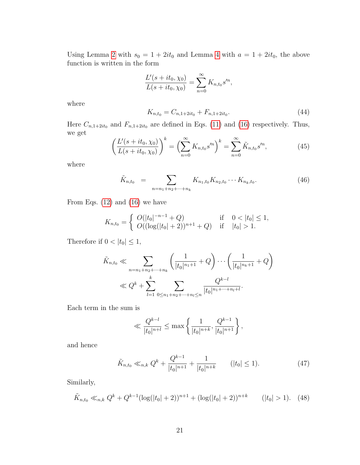Using Lemma [2](#page-5-3) with  $s_0 = 1 + 2it_0$  and Lemma [4](#page-7-0) with  $a = 1 + 2it_0$ , the above function is written in the form

$$
\frac{L'(s+it_0,\chi_0)}{L(s+it_0,\chi_0)} = \sum_{n=0}^{\infty} K_{n,t_0} s'^n,
$$

where

$$
K_{n,t_0} = C_{n,1+2it_0} + F_{n,1+2it_0}.\tag{44}
$$

Here  $C_{n,1+2it_0}$  and  $F_{n,1+2it_0}$  are defined in Eqs. [\(11\)](#page-5-4) and [\(16\)](#page-7-1) respectively. Thus, we get

<span id="page-20-0"></span>
$$
\left(\frac{L'(s+it_0,\chi_0)}{L(s+it_0,\chi_0)}\right)^k = \left(\sum_{n=0}^{\infty} K_{n,t_0} s'^n\right)^k = \sum_{n=0}^{\infty} \tilde{K}_{n,t_0} s'^n,
$$
\n(45)

where

<span id="page-20-1"></span>
$$
\tilde{K}_{n,t_0} = \sum_{n=n_1+n_2+\dots+n_k} K_{n_1,t_0} K_{n_2,t_0} \cdots K_{n_k,t_0}.
$$
\n(46)

From Eqs.  $(12)$  and  $(16)$  we have

$$
K_{n,t_0} = \begin{cases} O(|t_0|^{-n-1} + Q) & \text{if } 0 < |t_0| \le 1, \\ O((\log(|t_0| + 2))^{n+1} + Q) & \text{if } |t_0| > 1. \end{cases}
$$

Therefore if  $0 < |t_0| \leq 1$ ,

$$
\tilde{K}_{n,t_0} \ll \sum_{n=n_1+n_2+\dots+n_k} \left( \frac{1}{|t_0|^{n_1+1}} + Q \right) \cdots \left( \frac{1}{|t_0|^{n_k+1}} + Q \right)
$$
  

$$
\ll Q^k + \sum_{l=1}^k \sum_{0 \le n_1+n_2+\dots+n_l \le n} \frac{Q^{k-l}}{|t_0|^{n_1+\dots+n_l+l}}.
$$

Each term in the sum is

<span id="page-20-2"></span>
$$
\ll \frac{Q^{k-l}}{|t_0|^{n+l}} \le \max\left\{\frac{1}{|t_0|^{n+k}}, \frac{Q^{k-1}}{|t_0|^{n+1}}\right\},\,
$$

and hence

$$
\tilde{K}_{n,t_0} \ll_{n,k} Q^k + \frac{Q^{k-1}}{|t_0|^{n+1}} + \frac{1}{|t_0|^{n+k}} \qquad (|t_0| \le 1). \tag{47}
$$

Similarly,

$$
\tilde{K}_{n,t_0} \ll_{n,k} Q^k + Q^{k-1} (\log(|t_0|+2))^{n+1} + (\log(|t_0|+2))^{n+k} \qquad (|t_0|>1). \tag{48}
$$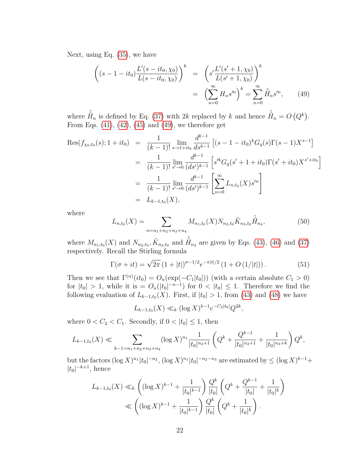Next, using Eq. [\(35\)](#page-18-5), we have

<span id="page-21-0"></span>
$$
\begin{aligned}\n\left( (s - 1 - it_0) \frac{L'(s - it_0, \chi_0)}{L(s - it_0, \chi_0)} \right)^k &= \left( s' \frac{L'(s' + 1, \chi_0)}{L(s' + 1, \chi_0)} \right)^k \\
&= \left( \sum_{n=0}^{\infty} H_n s'^n \right)^k = \sum_{n=0}^{\infty} \tilde{H}_n s'^n,\n\end{aligned} \tag{49}
$$

where  $\tilde{\tilde{H}}_n$  is defined by Eq. [\(37\)](#page-18-4) with 2k replaced by k and hence  $\tilde{\tilde{H}}_n = O(Q^k)$ . From Eqs.  $(41)$ ,  $(42)$ ,  $(45)$  and  $(49)$ , we therefore get

$$
\begin{split} \text{Res}(f_{\chi_0, t_0}(s); 1+it_0) &= \frac{1}{(k-1)!} \lim_{s \to 1+it_0} \frac{d^{k-1}}{ds^{k-1}} \left[ (s-1-it_0)^k G_q(s) \Gamma(s-1) X^{s-1} \right] \\ &= \frac{1}{(k-1)!} \lim_{s' \to 0} \frac{d^{k-1}}{(ds')^{k-1}} \left[ s'^k G_q(s'+1+it_0) \Gamma(s'+it_0) X^{s'+it_0} \right] \\ &= \frac{1}{(k-1)!} \lim_{s' \to 0} \frac{d^{k-1}}{(ds')^{k-1}} \left[ \sum_{n=0}^{\infty} L_{n, t_0}(X) s'^n \right] \\ &= L_{k-1, t_0}(X), \end{split}
$$

where

<span id="page-21-1"></span>
$$
L_{n,t_0}(X) = \sum_{n=n_1+n_2+n_3+n_4} M_{n_1,t_0}(X) N_{n_2,t_0} \tilde{K}_{n_3,t_0} \tilde{H}_{n_4},
$$
(50)

where  $M_{n_1,t_0}(X)$  and  $N_{n_2,t_0}$ ,  $\tilde{K}_{n_3,t_0}$  and  $\tilde{H}_{n_4}$  are given by Eqs. [\(43\)](#page-19-3), [\(46\)](#page-20-1) and [\(37\)](#page-18-4) respectively. Recall the Stirling formula

<span id="page-21-2"></span>
$$
\Gamma(\sigma + it) = \sqrt{2\pi} \left( 1 + |t| \right)^{\sigma - 1/2} e^{-\pi |t|/2} \left( 1 + O\left( 1/|t| \right) \right). \tag{51}
$$

Then we see that  $\Gamma^{(n)}(it_0) = O_n(\exp(-C_1|t_0|))$  (with a certain absolute  $C_1 > 0$ ) for  $|t_0| > 1$ , while it is  $= O_n(|t_0|^{-n-1})$  for  $0 < |t_0| \leq 1$ . Therefore we find the following evaluation of  $L_{k-1,t_0}(X)$ . First, if  $|t_0| > 1$ , from [\(43\)](#page-19-3) and [\(48\)](#page-20-2) we have

$$
L_{k-1,t_0}(X) \ll_k (\log X)^{k-1} e^{-C_2|t_0|} Q^{2k},
$$

where  $0 < C_2 < C_1$ . Secondly, if  $0 < |t_0| \leq 1$ , then

$$
L_{k-1,t_0}(X) \ll \sum_{k-1=n_1+n_2+n_3+n_4} (\log X)^{n_1} \frac{1}{|t_0|^{n_2+1}} \left(Q^k + \frac{Q^{k-1}}{|t_0|^{n_3+1}} + \frac{1}{|t_0|^{n_3+k}}\right) Q^k,
$$

but the factors  $(\log X)^{n_1}|t_0|^{-n_2}$ ,  $(\log X)^{n_1}|t_0|^{-n_2-n_3}$  are estimated by  $\leq (\log X)^{k-1}$ +  $|t_0|^{-k+1}$ , hence

$$
L_{k-1,t_0}(X) \ll_k \left( (\log X)^{k-1} + \frac{1}{|t_0|^{k-1}} \right) \frac{Q^k}{|t_0|} \left( Q^k + \frac{Q^{k-1}}{|t_0|} + \frac{1}{|t_0|^k} \right)
$$
  

$$
\ll \left( (\log X)^{k-1} + \frac{1}{|t_0|^{k-1}} \right) \frac{Q^k}{|t_0|} \left( Q^k + \frac{1}{|t_0|^k} \right).
$$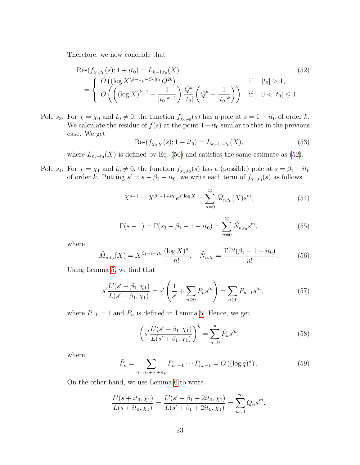Therefore, we now conclude that

$$
\operatorname{Res}(f_{\chi_0, t_0}(s); 1 + it_0) = L_{k-1, t_0}(X) \tag{52}
$$
\n
$$
= \begin{cases} O\left( (\log X)^{k-1} e^{-C_2 |t_0|} Q^{2k} \right) & \text{if} \quad |t_0| > 1, \\ O\left( \left( (\log X)^{k-1} + \frac{1}{|t_0|^{k-1}} \right) \frac{Q^k}{|t_0|} \left( Q^k + \frac{1}{|t_0|^k} \right) \right) & \text{if} \quad 0 < |t_0| \le 1. \end{cases}
$$

Pole  $s_3$ : For  $\chi = \chi_0$  and  $t_0 \neq 0$ , the function  $f_{\chi_0,t_0}(s)$  has a pole at  $s = 1 - it_0$  of order k. We calculate the residue of  $f(s)$  at the point  $1-it_0$  similar to that in the previous case. We get

<span id="page-22-7"></span><span id="page-22-0"></span>
$$
Res(f_{\chi_0,t_0}(s); 1 - it_0) = L_{k-1,-t_0}(X),
$$
\n(53)

where  $L_{n,-t_0}(X)$  is defined by Eq. [\(50\)](#page-21-1) and satisfies the same estimate as [\(52\)](#page-22-0).

Pole  $s_4$ : For  $\chi = \chi_1$  and  $t_0 \neq 0$ , the function  $f_{\chi_1,t_0}(s)$  has a (possible) pole at  $s = \beta_1 + it_0$ of order k. Putting  $s' = s - \beta_1 - it_0$ , we write each term of  $f_{\chi_1,t_0}(s)$  as follows

<span id="page-22-1"></span>
$$
X^{s-1} = X^{\beta_1 - 1 + it_0} e^{s' \log X} = \sum_{n=0}^{\infty} \tilde{M}_{n,t_0}(X) s'^n,
$$
 (54)

<span id="page-22-2"></span>
$$
\Gamma(s-1) = \Gamma(s_3 + \beta_1 - 1 + it_0) = \sum_{n=0}^{\infty} \tilde{N}_{n,t_0} s^n,
$$
\n(55)

where

<span id="page-22-4"></span>
$$
\tilde{M}_{n,t_0}(X) = X^{\beta_1 - 1 + it_0} \frac{(\log X)^n}{n!}, \quad \tilde{N}_{n,t_0} = \frac{\Gamma^{(n)}(\beta_1 - 1 + it_0)}{n!}.
$$
 (56)

Using Lemma [5,](#page-8-0) we find that

<span id="page-22-6"></span>
$$
s' \frac{L'(s' + \beta_1, \chi_1)}{L(s' + \beta_1, \chi_1)} = s' \left(\frac{1}{s'} + \sum_{n \ge 0} P_n s'^n\right) = \sum_{n \ge 0} P_{n-1} s'^n,\tag{57}
$$

where  $P_{-1} = 1$  and  $P_n$  is defined in Lemma [5.](#page-8-0) Hence, we get

<span id="page-22-3"></span>
$$
\left(s'\frac{L'(s'+\beta_1,\chi_1)}{L(s'+\beta_1,\chi_1)}\right)^k = \sum_{n=0}^{\infty} \tilde{P}_n s'^n,
$$
\n(58)

where

<span id="page-22-5"></span>
$$
\tilde{P}_n = \sum_{n=n_1+\dots+n_k} P_{n_1-1} \cdots P_{n_k-1} = O((\log q)^n). \tag{59}
$$

On the other hand, we use Lemma [6](#page-8-1) to write

$$
\frac{L'(s+it_0,\chi_1)}{L(s+it_0,\chi_1)}=\frac{L'(s'+\beta_1+2it_0,\chi_1)}{L(s'+\beta_1+2it_0,\chi_1)}=\sum_{n=0}^{\infty}Q_ns'^n.
$$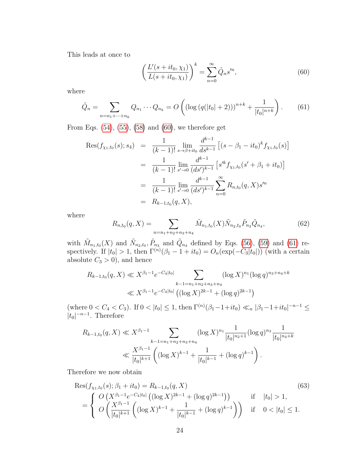This leads at once to

<span id="page-23-0"></span>
$$
\left(\frac{L'(s+it_0,\chi_1)}{L(s+it_0,\chi_1)}\right)^k = \sum_{n=0}^{\infty} \tilde{Q}_n s'^n,
$$
\n(60)

where

<span id="page-23-1"></span>
$$
\tilde{Q}_n = \sum_{n=n_1+\dots+n_k} Q_{n_1} \cdots Q_{n_k} = O\left( \left( \log \left( q(|t_0|+2) \right) \right)^{n+k} + \frac{1}{|t_0|^{n+k}} \right). \tag{61}
$$

From Eqs.  $(54)$ ,  $(55)$ ,  $(58)$  and  $(60)$ , we therefore get

$$
\operatorname{Res}(f_{\chi_1,t_0}(s);s_4) = \frac{1}{(k-1)!} \lim_{s \to \beta + it_0} \frac{d^{k-1}}{ds^{k-1}} \left[ (s - \beta_1 - it_0)^k f_{\chi_1,t_0}(s) \right]
$$
  
\n
$$
= \frac{1}{(k-1)!} \lim_{s' \to 0} \frac{d^{k-1}}{(ds')^{k-1}} \left[ s'^k f_{\chi_1,t_0}(s' + \beta_1 + it_0) \right]
$$
  
\n
$$
= \frac{1}{(k-1)!} \lim_{s' \to 0} \frac{d^{k-1}}{(ds')^{k-1}} \sum_{n=0}^{\infty} R_{n,t_0}(q, X) s'^n
$$
  
\n
$$
= R_{k-1,t_0}(q, X),
$$

where

<span id="page-23-2"></span>
$$
R_{n,t_0}(q, X) = \sum_{n=n_1+n_2+n_3+n_4} \tilde{M}_{n_1,t_0}(X) \tilde{N}_{n_2,t_0} \tilde{P}_{n_3} \tilde{Q}_{n_4},
$$
\n(62)

with  $\tilde{M}_{n_1,t_0}(X)$  and  $\tilde{N}_{n_2,t_0}, \tilde{P}_{n_3}$  and  $\tilde{Q}_{n_4}$  defined by Eqs. [\(56\)](#page-22-4), [\(59\)](#page-22-5) and [\(61\)](#page-23-1) respectively. If  $|t_0| > 1$ , then  $\Gamma^{(n)}(\beta_1 - 1 + it_0) = O_n(\exp(-C_3|t_0|))$  (with a certain absolute  $C_3 > 0$ , and hence

$$
R_{k-1,t_0}(q, X) \ll X^{\beta_1 - 1} e^{-C_4|t_0|} \sum_{k-1 = n_1 + n_2 + n_3 + n_4} (\log X)^{n_1} (\log q)^{n_3 + n_4 + k}
$$
  

$$
\ll X^{\beta_1 - 1} e^{-C_4|t_0|} \left( (\log X)^{2k-1} + (\log q)^{2k-1} \right)
$$

 $(\text{where } 0 < C_4 < C_3).$  If  $0 < |t_0| \leq 1$ , then  $\Gamma^{(n)}(\beta_1 - 1 + it_0) \ll_n |\beta_1 - 1 + it_0|^{-n-1} \leq$  $|t_0|^{-n-1}$ . Therefore

<span id="page-23-3"></span>
$$
R_{k-1,t_0}(q, X) \ll X^{\beta_1 - 1} \sum_{k-1 = n_1 + n_2 + n_3 + n_4} (\log X)^{n_1} \frac{1}{|t_0|^{n_2 + 1}} (\log q)^{n_3} \frac{1}{|t_0|^{n_4 + k}}
$$
  

$$
\ll \frac{X^{\beta_1 - 1}}{|t_0|^{k+1}} \left( (\log X)^{k-1} + \frac{1}{|t_0|^{k-1}} + (\log q)^{k-1} \right).
$$

Therefore we now obtain

$$
\operatorname{Res}(f_{\chi_1, t_0}(s); \beta_1 + it_0) = R_{k-1, t_0}(q, X) \tag{63}
$$
\n
$$
= \begin{cases} O\left(X^{\beta_1 - 1} e^{-C_4|t_0|} \left( (\log X)^{2k-1} + (\log q)^{2k-1} \right) \right) & \text{if } |t_0| > 1, \\ O\left(\frac{X^{\beta_1 - 1}}{|t_0|^{k+1}} \left( (\log X)^{k-1} + \frac{1}{|t_0|^{k-1}} + (\log q)^{k-1} \right) \right) & \text{if } 0 < |t_0| \le 1. \end{cases}
$$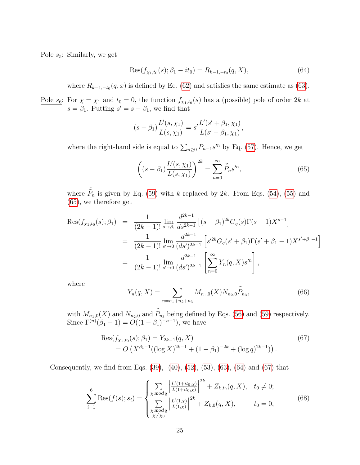Pole  $s_5$ : Similarly, we get

<span id="page-24-1"></span>
$$
Res(f_{\chi_1,t_0}(s); \beta_1 - it_0) = R_{k-1,-t_0}(q, X), \tag{64}
$$

where  $R_{k-1,-t_0}(q,x)$  is defined by Eq. [\(62\)](#page-23-2) and satisfies the same estimate as [\(63\)](#page-23-3).

Pole  $s_6$ : For  $\chi = \chi_1$  and  $t_0 = 0$ , the function  $f_{\chi_1,t_0}(s)$  has a (possible) pole of order 2k at  $s = \beta_1$ . Putting  $s' = s - \beta_1$ , we find that

$$
(s - \beta_1) \frac{L'(s, \chi_1)}{L(s, \chi_1)} = s' \frac{L'(s' + \beta_1, \chi_1)}{L(s' + \beta_1, \chi_1)},
$$

where the right-hand side is equal to  $\sum_{n\geq 0} P_{n-1}s'^n$  by Eq. [\(57\)](#page-22-6). Hence, we get

<span id="page-24-0"></span>
$$
\left( (s - \beta_1) \frac{L'(s, \chi_1)}{L(s, \chi_1)} \right)^{2k} = \sum_{n=0}^{\infty} \tilde{\tilde{P}}_n s^n,
$$
\n(65)

where  $\tilde{\tilde{P}}_n$  is given by Eq. [\(59\)](#page-22-5) with k replaced by 2k. From Eqs. [\(54\)](#page-22-1), [\(55\)](#page-22-2) and [\(65\)](#page-24-0), we therefore get

$$
\begin{split} \text{Res}(f_{\chi_1,t_0}(s); \beta_1) &= \frac{1}{(2k-1)!} \lim_{s \to \beta_1} \frac{d^{2k-1}}{ds^{2k-1}} \left[ (s-\beta_1)^{2k} G_q(s) \Gamma(s-1) X^{s-1} \right] \\ &= \frac{1}{(2k-1)!} \lim_{s' \to 0} \frac{d^{2k-1}}{(ds')^{2k-1}} \left[ s'^{2k} G_q(s'+\beta_1) \Gamma(s'+\beta_1-1) X^{s'+\beta_1-1} \right] \\ &= \frac{1}{(2k-1)!} \lim_{s' \to 0} \frac{d^{2k-1}}{(ds')^{2k-1}} \left[ \sum_{n=0}^{\infty} Y_n(q,X) s'^n \right], \end{split}
$$

where

<span id="page-24-2"></span>
$$
Y_n(q, X) = \sum_{n=n_1+n_2+n_3} \tilde{M}_{n_1,0}(X) \tilde{N}_{n_2,0} \tilde{P}_{n_3},
$$
\n(66)

with  $\tilde{M}_{n_1,0}(X)$  and  $\tilde{N}_{n_2,0}$  and  $\tilde{\tilde{P}}_{n_3}$  being defined by Eqs. [\(56\)](#page-22-4) and [\(59\)](#page-22-5) respectively. Since  $\Gamma^{(n)}(\beta_1 - 1) = O((1 - \beta_1)^{-n-1})$ , we have

$$
Res(f_{\chi_1, t_0}(s); \beta_1) = Y_{2k-1}(q, X)
$$
  
=  $O(X^{\beta_1 - 1}((\log X)^{2k-1} + (1 - \beta_1)^{-2k} + (\log q)^{2k-1}))$ . (67)

Consequently, we find from Eqs.  $(39)$ ,  $(40)$ ,  $(52)$ ,  $(53)$ ,  $(63)$ ,  $(64)$  and  $(67)$  that

<span id="page-24-3"></span>
$$
\sum_{i=1}^{6} \text{Res}(f(s); s_i) = \begin{cases} \sum_{\chi \bmod q} \left| \frac{L'(1+it_0,\chi)}{L(1+it_0,\chi)} \right|^{2k} + Z_{k,t_0}(q, X), & t_0 \neq 0; \\ \sum_{\chi \bmod q} \left| \frac{L'(1,\chi)}{L(1,\chi)} \right|^{2k} + Z_{k,0}(q, X), & t_0 = 0, \end{cases}
$$
(68)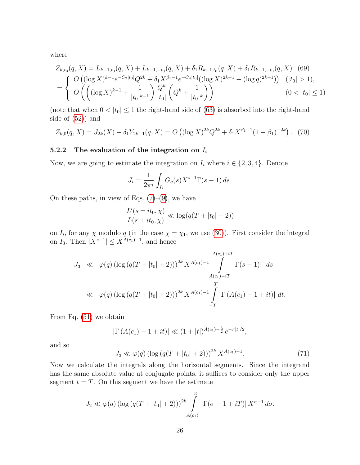where

$$
Z_{k,t_0}(q, X) = L_{k-1,t_0}(q, X) + L_{k-1,-t_0}(q, X) + \delta_1 R_{k-1,t_0}(q, X) + \delta_1 R_{k-1,-t_0}(q, X)
$$
(69)  
= 
$$
\begin{cases} O\left((\log X)^{k-1} e^{-C_2|t_0|} Q^{2k} + \delta_1 X^{\beta_1 - 1} e^{-C_4|t_0|} ((\log X)^{2k-1} + (\log q)^{2k-1})\right) & (|t_0| > 1), \\ O\left(\left((\log X)^{k-1} + \frac{1}{|t_0|^{k-1}}\right) \frac{Q^k}{|t_0|} \left(Q^k + \frac{1}{|t_0|^k}\right)\right) & (0 < |t_0| \le 1) \end{cases}
$$

(note that when  $0 < |t_0| \leq 1$  the right-hand side of [\(63\)](#page-23-3) is absorbed into the right-hand side of [\(52\)](#page-22-0)) and

$$
Z_{k,0}(q,X) = J_{2k}(X) + \delta_1 Y_{2k-1}(q,X) = O\left((\log X)^{2k} Q^{2k} + \delta_1 X^{\beta_1 - 1} (1 - \beta_1)^{-2k}\right). (70)
$$

#### 5.2.2 The evaluation of the integration on  $I_i$

Now, we are going to estimate the integration on  $I_i$  where  $i \in \{2, 3, 4\}$ . Denote

$$
J_i = \frac{1}{2\pi i} \int_{I_i} G_q(s) X^{s-1} \Gamma(s-1) \, ds.
$$

On these paths, in view of Eqs.  $(7)-(9)$  $(7)-(9)$ , we have

$$
\frac{L'(s \pm it_0, \chi)}{L(s \pm it_0, \chi)} \ll \log(q(T + |t_0| + 2))
$$

on  $I_i$ , for any  $\chi$  modulo q (in the case  $\chi = \chi_1$ , we use [\(30\)](#page-16-1)). First consider the integral on  $I_3$ . Then  $|X^{s-1}| \leq X^{A(c_1)-1}$ , and hence

$$
J_3 \ll \varphi(q) \left( \log \left( q(T + |t_0| + 2) \right) \right)^{2k} X^{A(c_1) - 1} \int_{A(c_1) - iT}^{A(c_1) + iT} \left| \Gamma(s - 1) \right| \, ds
$$
  
\$\ll \varphi(q) \left( \log \left( q(T + |t\_0| + 2) \right) \right)^{2k} X^{A(c\_1) - 1} \int\_{-T}^{T} \left| \Gamma \left( A(c\_1) - 1 + it \right) \right| \, dt.

From Eq. [\(51\)](#page-21-2) we obtain

$$
|\Gamma(A(c_1) - 1 + it)| \ll (1 + |t|)^{A(c_1) - \frac{3}{2}} e^{-\pi |t|/2},
$$

and so

<span id="page-25-0"></span>
$$
J_3 \ll \varphi(q) \left( \log \left( q(T + |t_0| + 2) \right) \right)^{2k} X^{A(c_1) - 1}.
$$
 (71)

Now we calculate the integrals along the horizontal segments. Since the integrand has the same absolute value at conjugate points, it suffices to consider only the upper segment  $t = T$ . On this segment we have the estimate

$$
J_2 \ll \varphi(q) \left(\log\left(q(T+|t_0|+2)\right)\right)^{2k} \int\limits_{A(c_1)}^3 |\Gamma(\sigma-1+iT)| X^{\sigma-1} d\sigma.
$$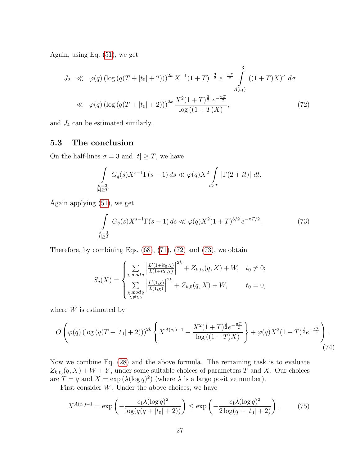Again, using Eq. [\(51\)](#page-21-2), we get

<span id="page-26-1"></span>
$$
J_2 \ll \varphi(q) \left( \log \left( q(T + |t_0| + 2) \right) \right)^{2k} X^{-1} (1 + T)^{-\frac{3}{2}} e^{-\frac{\pi T}{2}} \int_{A(c_1)}^3 \left( (1 + T) X \right)^{\sigma} d\sigma
$$
  

$$
\ll \varphi(q) \left( \log \left( q(T + |t_0| + 2) \right) \right)^{2k} \frac{X^2 (1 + T)^{\frac{3}{2}} e^{-\frac{\pi T}{2}}}{\log \left( (1 + T) X \right)},
$$
(72)

and  $J_4$  can be estimated similarly.

### <span id="page-26-0"></span>5.3 The conclusion

On the half-lines  $\sigma = 3$  and  $|t| \geq T$ , we have

$$
\int_{\substack{\sigma=3\\|t|\geq T}} G_q(s)X^{s-1}\Gamma(s-1)\,ds \ll \varphi(q)X^2 \int_{t\geq T} |\Gamma(2+it)|\,dt.
$$

Again applying [\(51\)](#page-21-2), we get

<span id="page-26-2"></span>
$$
\int_{\substack{\sigma=3\\|t|\geq T}} G_q(s) X^{s-1} \Gamma(s-1) ds \ll \varphi(q) X^2 (1+T)^{3/2} e^{-\pi T/2}.
$$
 (73)

Therefore, by combining Eqs.  $(68)$ ,  $(71)$ ,  $(72)$  and  $(73)$ , we obtain

<span id="page-26-3"></span>
$$
S_q(X) = \begin{cases} \sum_{\chi \bmod q} \left| \frac{L'(1+it_0,\chi)}{L(1+it_0,\chi)} \right|^{2k} + Z_{k,t_0}(q,X) + W, & t_0 \neq 0; \\ \sum_{\substack{\chi \bmod q \\ \chi \neq \chi_0}} \left| \frac{L'(1,\chi)}{L(1,\chi)} \right|^{2k} + Z_{k,0}(q,X) + W, & t_0 = 0, \end{cases}
$$

where  $W$  is estimated by

$$
O\left(\varphi(q)\left(\log\left(q(T+|t_0|+2)\right)\right)^{2k}\left\{X^{A(c_1)-1}+\frac{X^2(1+T)^{\frac{3}{2}}e^{-\frac{\pi T}{2}}}{\log\left((1+T)X\right)}\right\}+\varphi(q)X^2(1+T)^{\frac{3}{2}}e^{-\frac{\pi T}{2}}\right).
$$
\n(74)

Now we combine Eq. [\(28\)](#page-15-0) and the above formula. The remaining task is to evaluate  $Z_{k,t_0}(q, X) + W + Y$ , under some suitable choices of parameters T and X. Our choices are  $T = q$  and  $X = \exp(\lambda(\log q)^2)$  (where  $\lambda$  is a large positive number).

First consider  $W$ . Under the above choices, we have

<span id="page-26-4"></span>
$$
X^{A(c_1)-1} = \exp\left(-\frac{c_1 \lambda (\log q)^2}{\log(q(q+|t_0|+2))}\right) \le \exp\left(-\frac{c_1 \lambda (\log q)^2}{2\log(q+|t_0|+2)}\right),\tag{75}
$$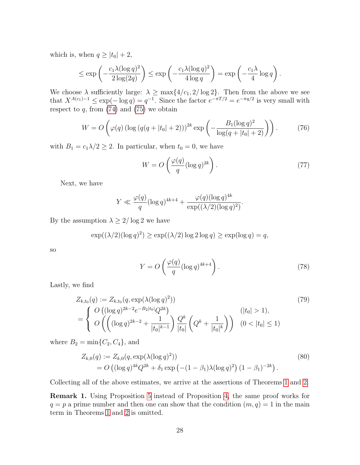which is, when  $q \ge |t_0| + 2$ ,

$$
\leq \exp\left(-\frac{c_1\lambda(\log q)^2}{2\log(2q)}\right) \leq \exp\left(-\frac{c_1\lambda(\log q)^2}{4\log q}\right) = \exp\left(-\frac{c_1\lambda}{4}\log q\right).
$$

We choose  $\lambda$  sufficiently large:  $\lambda \ge \max\{4/c_1, 2/\log 2\}$ . Then from the above we see that  $X^{A(c_1)-1} \leq \exp(-\log q) = q^{-1}$ . Since the factor  $e^{-\pi T/2} = e^{-\pi q/2}$  is very small with respect to  $q$ , from  $(74)$  and  $(75)$  we obtain

$$
W = O\left(\varphi(q) \left(\log\left(q(q + |t_0| + 2)\right)\right)^{2k} \exp\left(-\frac{B_1(\log q)^2}{\log(q + |t_0| + 2)}\right)\right). \tag{76}
$$

with  $B_1 = c_1 \lambda/2 \geq 2$ . In particular, when  $t_0 = 0$ , we have

$$
W = O\left(\frac{\varphi(q)}{q} (\log q)^{2k}\right). \tag{77}
$$

Next, we have

$$
Y \ll \frac{\varphi(q)}{q} (\log q)^{4k+4} + \frac{\varphi(q)(\log q)^{4k}}{\exp((\lambda/2)(\log q)^2)}.
$$

By the assumption  $\lambda \geq 2/\log 2$  we have

$$
\exp((\lambda/2)(\log q)^2) \ge \exp((\lambda/2)\log 2\log q) \ge \exp(\log q) = q,
$$

so

$$
Y = O\left(\frac{\varphi(q)}{q} (\log q)^{4k+4}\right). \tag{78}
$$

Lastly, we find

$$
Z_{k,t_0}(q) := Z_{k,t_0}(q, \exp(\lambda(\log q)^2))
$$
\n
$$
= \begin{cases} O\left((\log q)^{2k-2}e^{-B_2|t_0|}Q^{2k}\right) & (\vert t_0 \vert > 1), \\ O\left(\left((\log q)^{2k-2} + \frac{1}{|t_0|^{k-1}}\right) \frac{Q^k}{|t_0|}\left(Q^k + \frac{1}{|t_0|^k}\right)\right) & (0 < |t_0| \le 1) \end{cases}
$$
\n
$$
(79)
$$

where  $B_2 = \min\{C_2, C_4\}$ , and

$$
Z_{k,0}(q) := Z_{k,0}(q, \exp(\lambda(\log q)^2))
$$
  
=  $O((\log q)^{4k} Q^{2k} + \delta_1 \exp(-(1 - \beta_1)\lambda(\log q)^2) (1 - \beta_1)^{-2k}).$  (80)

Collecting all of the above estimates, we arrive at the assertions of Theorems [1](#page-1-2) and [2.](#page-2-1)

<span id="page-27-0"></span>Remark 1. Using Proposition [5](#page-13-3) instead of Proposition [4,](#page-9-1) the same proof works for  $q = p$  a prime number and then one can show that the condition  $(m, q) = 1$  in the main term in Theorems [1](#page-1-2) and [2](#page-2-1) is omitted.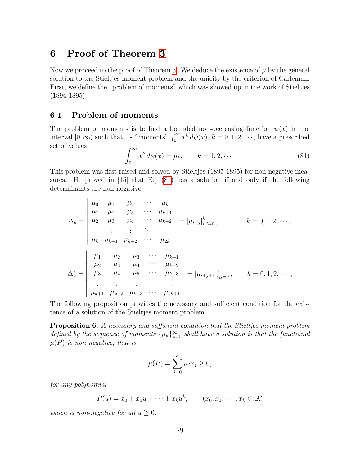# 6 Proof of Theorem [3](#page-3-0)

Now we proceed to the proof of Theorem [3.](#page-3-0) We deduce the existence of  $\mu$  by the general solution to the Stieltjes moment problem and the unicity by the criterion of Carleman. First, we define the "problem of moments" which was showed up in the work of Stieltjes (1894-1895).

### 6.1 Problem of moments

The problem of moments is to find a bounded non-decreasing function  $\psi(x)$  in the interval  $[0, \infty)$  such that its "moments"  $\int_0^\infty x^k d\psi(x)$ ,  $k = 0, 1, 2, \cdots$ , have a prescribed set of values

<span id="page-28-0"></span>
$$
\int_0^\infty x^k \, d\psi(x) = \mu_k, \qquad k = 1, 2, \cdots. \tag{81}
$$

This problem was first raised and solved by Stieltjes (1895-1895) for non-negative measures. He proved in [\[15\]](#page-34-6) that Eq. [\(81\)](#page-28-0) has a solution if and only if the following determinants are non-negative:

$$
\Delta_{k} = \begin{vmatrix}\n\mu_{0} & \mu_{1} & \mu_{2} & \cdots & \mu_{k} \\
\mu_{1} & \mu_{2} & \mu_{3} & \cdots & \mu_{k+1} \\
\mu_{2} & \mu_{3} & \mu_{4} & \cdots & \mu_{k+2} \\
\vdots & \vdots & \vdots & \ddots & \vdots \\
\mu_{k} & \mu_{k+1} & \mu_{k+2} & \cdots & \mu_{2k}\n\end{vmatrix} = |\mu_{i+j}|_{i,j=0}^{k}, \qquad k = 0, 1, 2, \cdots,
$$
\n
$$
\Delta_{k}^{*} = \begin{vmatrix}\n\mu_{1} & \mu_{2} & \mu_{3} & \cdots & \mu_{k+1} \\
\mu_{2} & \mu_{3} & \mu_{4} & \cdots & \mu_{k+2} \\
\mu_{3} & \mu_{4} & \mu_{5} & \cdots & \mu_{k+3} \\
\vdots & \vdots & \vdots & \ddots & \vdots \\
\mu_{k+1} & \mu_{k+2} & \mu_{k+3} & \cdots & \mu_{2k+1}\n\end{vmatrix} = |\mu_{i+j+1}|_{i,j=0}^{k}, \qquad k = 0, 1, 2, \cdots,
$$

The following proposition provides the necessary and sufficient condition for the existence of a solution of the Stieltjes moment problem.

<span id="page-28-1"></span>Proposition 6. A necessary and sufficient condition that the Stieltjes moment problem defined by the sequence of moments  $\{\mu_k\}_{k=0}^{\infty}$  shall have a solution is that the functional  $\mu(P)$  is non-negative, that is

$$
\mu(P) = \sum_{j=0}^{k} \mu_j x_j \ge 0,
$$

for any polynomial

$$
P(u) = x_0 + x_1 u + \dots + x_k u^k, \qquad (x_0, x_1, \dots, x_k \in \mathbb{R})
$$

which is non-negative for all  $u \geq 0$ .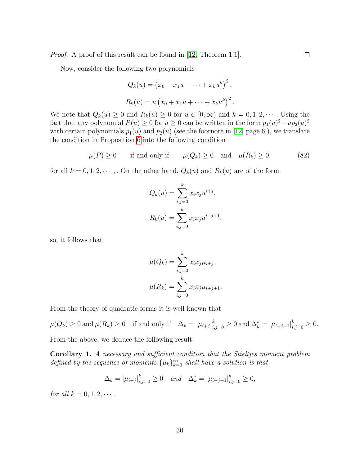Proof. A proof of this result can be found in [\[12,](#page-33-11) Theorem 1.1].

Now, consider the following two polynomials

$$
Q_k(u) = (x_0 + x_1u + \dots + x_ku^k)^2,
$$
  

$$
R_k(u) = u(x_0 + x_1u + \dots + x_ku^k)^2.
$$

We note that  $Q_k(u) \geq 0$  and  $R_k(u) \geq 0$  for  $u \in [0,\infty)$  and  $k = 0,1,2,\cdots$ . Using the fact that any polynomial  $P(u) \ge 0$  for  $u \ge 0$  can be written in the form  $p_1(u)^2 + up_2(u)^2$ with certain polynomials  $p_1(u)$  and  $p_2(u)$  (see the footnote in [\[12,](#page-33-11) page 6]), we translate the condition in Proposition [6](#page-28-1) into the following condition

$$
\mu(P) \ge 0 \qquad \text{if and only if} \qquad \mu(Q_k) \ge 0 \quad \text{and} \quad \mu(R_k) \ge 0,\tag{82}
$$

for all  $k = 0, 1, 2, \dots$ , On the other hand,  $Q_k(u)$  and  $R_k(u)$  are of the form

$$
Q_k(u) = \sum_{i,j=0}^k x_i x_j u^{i+j},
$$

$$
R_k(u) = \sum_{i,j=0}^k x_i x_j u^{i+j+1},
$$

so, it follows that

$$
\mu(Q_k) = \sum_{i,j=0}^k x_i x_j \mu_{i+j},
$$

$$
\mu(R_k) = \sum_{i,j=0}^k x_i x_j \mu_{i+j+1}.
$$

From the theory of quadratic forms it is well known that

 $\mu(Q_k) \ge 0$  and  $\mu(R_k) \ge 0$  if and only if  $\Delta_k = |\mu_{i+j}|_{i,j=0}^k \ge 0$  and  $\Delta_k^* = |\mu_{i+j+1}|_{i,j=0}^k \ge 0$ .

From the above, we deduce the following result:

<span id="page-29-0"></span>Corollary 1. A necessary and sufficient condition that the Stieltjes moment problem defined by the sequence of moments  $\{\mu_k\}_{k=0}^{\infty}$  shall have a solution is that

$$
\Delta_k = |\mu_{i+j}|_{i,j=0}^k \ge 0 \quad and \quad \Delta_k^* = |\mu_{i+j+1}|_{i,j=0}^k \ge 0,
$$

for all  $k = 0, 1, 2, \cdots$ .

 $\Box$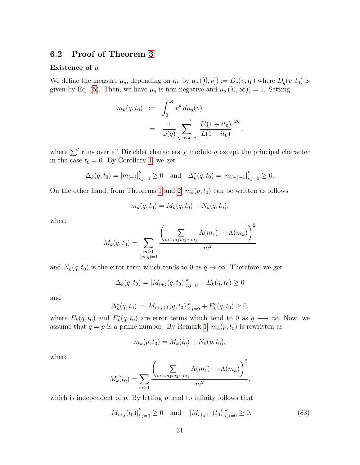### 6.2 Proof of Theorem [3](#page-3-0)

#### Existence of  $\mu$

We define the measure  $\mu_q$ , depending on  $t_0$ , by  $\mu_q([0, v]) := D_q(v, t_0)$  where  $D_q(v, t_0)$  is given by Eq. [\(5\)](#page-3-1). Then, we have  $\mu_q$  is non-negative and  $\mu_q([0,\infty)) = 1$ . Setting

$$
m_k(q, t_0) := \int_0^\infty v^k d\mu_q(v)
$$
  
= 
$$
\frac{1}{\varphi(q)} \sum_{\chi \bmod q} \left| \frac{L'(1 + it_0)}{L(1 + it_0)} \right|^{2k},
$$

where  $\sum'$  runs over all Dirichlet characters  $\chi$  modulo q except the principal character in the case  $t_0 = 0$ . By Corollary [1,](#page-29-0) we get

$$
\Delta_k(q, t_0) = |m_{i+j}|_{i,j=0}^k \ge 0 \text{ and } \Delta_k^*(q, t_0) = |m_{i+j+1}|_{i,j=0}^k \ge 0.
$$

On the other hand, from Theorems [1](#page-1-2) and [2,](#page-2-1)  $m_k(q, t_0)$  can be written as follows

$$
m_k(q, t_0) = M_k(q, t_0) + N_k(q, t_0),
$$

where

$$
M_k(q, t_0) = \sum_{\substack{m \geq 1 \\ (m,q)=1}} \frac{\left(\sum_{m=m_1m_2\cdots m_k} \Lambda(m_1)\cdots\Lambda(m_k)\right)^2}{m^2}
$$

and  $N_k(q, t_0)$  is the error term which tends to 0 as  $q \to \infty$ . Therefore, we get

$$
\Delta_k(q, t_0) = |M_{i+j}(q, t_0)|_{i,j=0}^k + E_k(q, t_0) \ge 0
$$

and

$$
\Delta_k^*(q, t_0) = |M_{i+j+1}(q, t_0)|_{i,j=0}^k + E_k^*(q, t_0) \ge 0,
$$

where  $E_k(q, t_0)$  and  $E_k^*(q, t_0)$  are error terms which tend to 0 as  $q \longrightarrow \infty$ . Now, we assume that  $q = p$  is a prime number. By Remark [1,](#page-27-0)  $m_k(p, t_0)$  is rewritten as

$$
m_k(p, t_0) = M_k(t_0) + N_k(p, t_0),
$$

where

$$
M_k(t_0) = \sum_{m \geq 1} \frac{\left(\sum_{m=m_1m_2\cdots m_k} \Lambda(m_1)\cdots\Lambda(m_k)\right)^2}{m^2},
$$

which is independent of  $p$ . By letting  $p$  tend to infinity follows that

$$
|M_{i+j}(t_0)|_{i,j=0}^k \ge 0 \quad \text{and} \quad |M_{i+j+1}(t_0)|_{i,j=0}^k \ge 0. \tag{83}
$$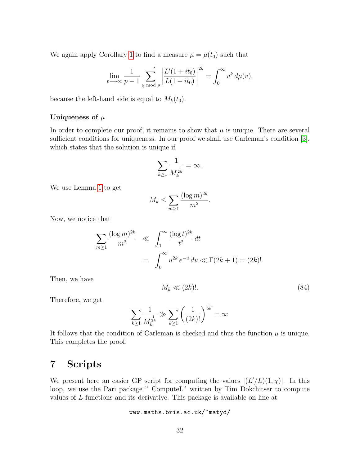We again apply Corollary [1](#page-29-0) to find a measure  $\mu = \mu(t_0)$  such that

$$
\lim_{p \to \infty} \frac{1}{p-1} \sum_{\chi \bmod p}^{\prime} \left| \frac{L'(1+it_0)}{L(1+it_0)} \right|^{2k} = \int_0^{\infty} v^k d\mu(v),
$$

because the left-hand side is equal to  $M_k(t_0)$ .

#### Uniqueness of  $\mu$

In order to complete our proof, it remains to show that  $\mu$  is unique. There are several sufficient conditions for uniqueness. In our proof we shall use Carleman's condition [\[3\]](#page-33-12), which states that the solution is unique if

$$
\sum_{k\geq 1}\frac{1}{M_k^{\frac{1}{2k}}}=\infty.
$$

We use Lemma [1](#page-5-2) to get

$$
M_k \le \sum_{m \ge 1} \frac{(\log m)^{2k}}{m^2}.
$$

Now, we notice that

$$
\sum_{m\geq 1} \frac{(\log m)^{2k}}{m^2} \ll \int_1^\infty \frac{(\log t)^{2k}}{t^2} dt
$$
  
= 
$$
\int_0^\infty u^{2k} e^{-u} du \ll \Gamma(2k+1) = (2k)!.
$$

Then, we have

$$
M_k \ll (2k)!!\tag{84}
$$

Therefore, we get

$$
\sum_{k\geq 1} \frac{1}{M_k^{\frac{1}{2k}}} \gg \sum_{k\geq 1} \left(\frac{1}{(2k)!}\right)^{\frac{1}{2k}} = \infty
$$

It follows that the condition of Carleman is checked and thus the function  $\mu$  is unique. This completes the proof.

# 7 Scripts

We present here an easier GP script for computing the values  $|(L'/L)(1, \chi)|$ . In this loop, we use the Pari package " ComputeL" written by Tim Dokchitser to compute values of L-functions and its derivative. This package is available on-line at

www.maths.bris.ac.uk/~matyd/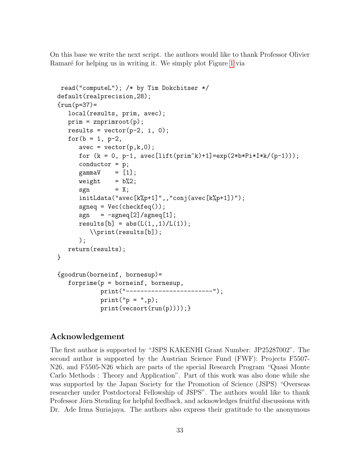On this base we write the next script. the authors would like to thank Professor Olivier Ramaré for helping us in writing it. We simply plot Figure [1](#page-3-2) via

```
read("computeL"); /* by Tim Dokchitser */
default(realprecision,28);
{run(p=37)}=local(results, prim, avec);
   prim = znprimroot(p);
   results = vector(p-2, i, 0);for(b = 1, p-2,avec = vector(p,k,0);for (k = 0, p-1, avec[lift(prim^k)+1]=exp(2*b*Pi*I*k/(p-1)));
      conductor = p;
      gamma = [1];weight = b\%2;
      sgn = X;initLdata("avec[k%p+1)", "conj(avec[k%p+1]");sgneq = Vec(checkfeq());
      sgn = -sgneq[2]/sgneq[1];results[b] = abs(L(1, 1)/L(1));\\print(results[b]);
      );
   return(results);
}
{goodrun(borneinf, bornesup)=
   for prime(p = borneinf, bornessup,print("------------------------");
           print("p = ",p);print(vecsort(run(p)))); }
```
### Acknowledgement

The first author is supported by "JSPS KAKENHI Grant Number: JP25287002". The second author is supported by the Austrian Science Fund (FWF): Projects F5507- N26, and F5505-N26 which are parts of the special Research Program "Quasi Monte Carlo Methods : Theory and Application". Part of this work was also done while she was supported by the Japan Society for the Promotion of Science (JSPS) "Overseas researcher under Postdoctoral Fellowship of JSPS". The authors would like to thank Professor Jörn Steuding for helpful feedback, and acknowledges fruitful discussions with Dr. Ade Irma Suriajaya. The authors also express their gratitude to the anonymous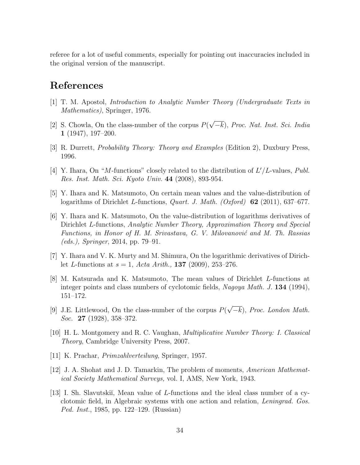referee for a lot of useful comments, especially for pointing out inaccuracies included in the original version of the manuscript.

# References

- <span id="page-33-10"></span>[1] T. M. Apostol, Introduction to Analytic Number Theory (Undergraduate Texts in Mathematics), Springer, 1976.
- <span id="page-33-1"></span>[2] S. Chowla, On the class-number of the corpus  $P($ √ −k), Proc. Nat. Inst. Sci. India 1 (1947), 197–200.
- <span id="page-33-12"></span>[3] R. Durrett, Probability Theory: Theory and Examples (Edition 2), Duxbury Press, 1996.
- <span id="page-33-8"></span>[4] Y. Ihara, On "M-functions" closely related to the distribution of  $L'/L$ -values, Publ. Res. Inst. Math. Sci. Kyoto Univ. 44 (2008), 893-954.
- <span id="page-33-5"></span>[5] Y. Ihara and K. Matsumoto, On certain mean values and the value-distribution of logarithms of Dirichlet L-functions, *Quart. J. Math. (Oxford)* **62** (2011), 637–677.
- <span id="page-33-4"></span>[6] Y. Ihara and K. Matsumoto, On the value-distribution of logarithms derivatives of Dirichlet L-functions, Analytic Number Theory, Approximation Theory and Special Functions, in Honor of H. M. Srivastava, G. V. Milovanović and M. Th. Rassias (eds.), Springer, 2014, pp. 79–91.
- <span id="page-33-6"></span>[7] Y. Ihara and V. K. Murty and M. Shimura, On the logarithmic derivatives of Dirichlet L-functions at  $s = 1$ , Acta Arith., **137** (2009), 253–276.
- <span id="page-33-3"></span>[8] M. Katsurada and K. Matsumoto, The mean values of Dirichlet L-functions at integer points and class numbers of cyclotomic fields, Nagoya Math. J. 134 (1994), 151–172.
- <span id="page-33-0"></span>[9] J.E. Littlewood, On the class-number of the corpus  $P($ √  $(-k)$ , Proc. London Math. Soc. **27** (1928), 358–372.
- <span id="page-33-7"></span>[10] H. L. Montgomery and R. C. Vaughan, Multiplicative Number Theory: I. Classical Theory, Cambridge University Press, 2007.
- <span id="page-33-9"></span>[11] K. Prachar, Primzahlverteilung, Springer, 1957.
- <span id="page-33-11"></span>[12] J. A. Shohat and J. D. Tamarkin, The problem of moments, American Mathematical Society Mathematical Surveys, vol. I, AMS, New York, 1943.
- <span id="page-33-2"></span>[13] I. Sh. Slavutskiı̆, Mean value of L-functions and the ideal class number of a cyclotomic field, in Algebraic systems with one action and relation, Leningrad. Gos. Ped. Inst., 1985, pp. 122–129. (Russian)